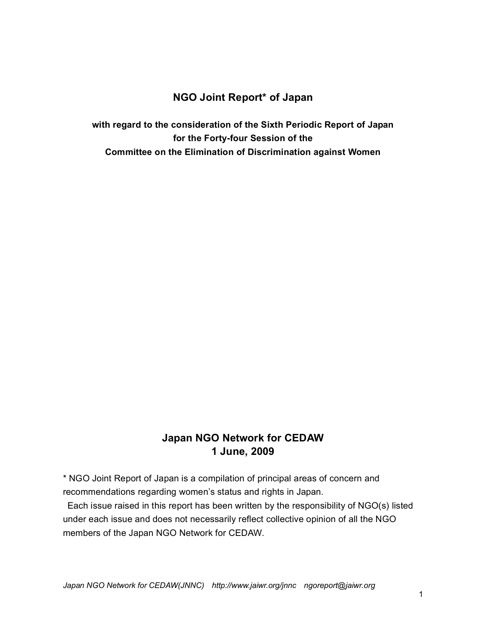## **NGO Joint Report\* of Japan**

**with regard to the consideration of the Sixth Periodic Report of Japan for the Forty-four Session of the Committee on the Elimination of Discrimination against Women**

## **Japan NGO Network for CEDAW 1 June, 2009**

\* NGO Joint Report of Japan is a compilation of principal areas of concern and recommendations regarding women's status and rights in Japan.

Each issue raised in this report has been written by the responsibility of NGO(s) listed under each issue and does not necessarily reflect collective opinion of all the NGO members of the Japan NGO Network for CEDAW.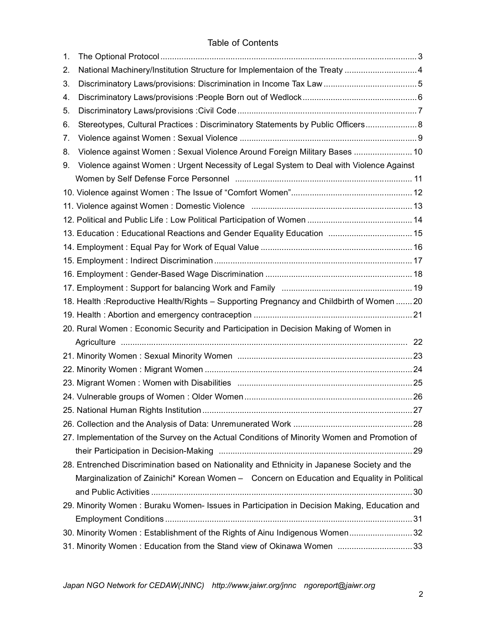| 1. |                                                                                              |  |
|----|----------------------------------------------------------------------------------------------|--|
| 2. | National Machinery/Institution Structure for Implementaion of the Treaty  4                  |  |
| 3. |                                                                                              |  |
| 4. |                                                                                              |  |
| 5. |                                                                                              |  |
| 6. | Stereotypes, Cultural Practices: Discriminatory Statements by Public Officers 8              |  |
| 7. |                                                                                              |  |
| 8. | Violence against Women: Sexual Violence Around Foreign Military Bases  10                    |  |
| 9. | Violence against Women: Urgent Necessity of Legal System to Deal with Violence Against       |  |
|    |                                                                                              |  |
|    |                                                                                              |  |
|    |                                                                                              |  |
|    |                                                                                              |  |
|    | 13. Education: Educational Reactions and Gender Equality Education  15                       |  |
|    |                                                                                              |  |
|    |                                                                                              |  |
|    |                                                                                              |  |
|    |                                                                                              |  |
|    | 18. Health : Reproductive Health/Rights - Supporting Pregnancy and Childbirth of Women  20   |  |
|    |                                                                                              |  |
|    | 20. Rural Women: Economic Security and Participation in Decision Making of Women in          |  |
|    |                                                                                              |  |
|    |                                                                                              |  |
|    |                                                                                              |  |
|    |                                                                                              |  |
|    |                                                                                              |  |
|    |                                                                                              |  |
|    |                                                                                              |  |
|    | 27. Implementation of the Survey on the Actual Conditions of Minority Women and Promotion of |  |
|    |                                                                                              |  |
|    | 28. Entrenched Discrimination based on Nationality and Ethnicity in Japanese Society and the |  |
|    | Marginalization of Zainichi* Korean Women - Concern on Education and Equality in Political   |  |
|    |                                                                                              |  |
|    | 29. Minority Women: Buraku Women- Issues in Participation in Decision Making, Education and  |  |
|    |                                                                                              |  |
|    | 32. Minority Women: Establishment of the Rights of Ainu Indigenous Women 32                  |  |
|    | 31. Minority Women: Education from the Stand view of Okinawa Women 33                        |  |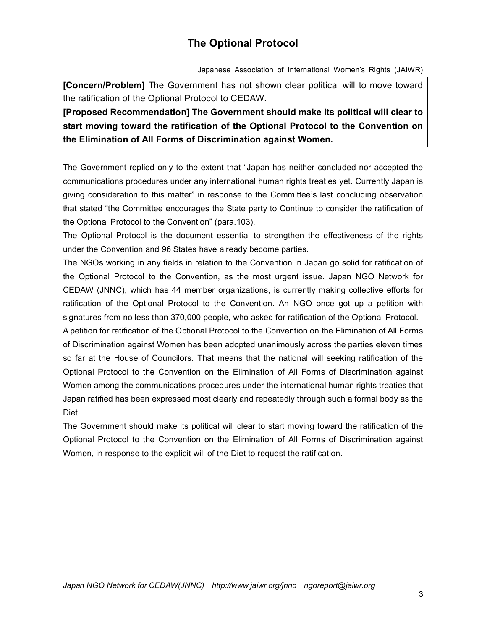# **The Optional Protocol**

Japanese Association of International Women's Rights (JAIWR)

**[Concern/Problem]** The Government has not shown clear political will to move toward the ratification of the Optional Protocol to CEDAW.

**[Proposed Recommendation] The Government should make its political will clear to start moving toward the ratification of the Optional Protocol to the Convention on the Elimination of All Forms of Discrimination against Women.**

The Government replied only to the extent that "Japan has neither concluded nor accepted the communications procedures under any international human rights treaties yet. Currently Japan is giving consideration to this matter" in response to the Committee's last concluding observation that stated "the Committee encourages the State party to Continue to consider the ratification of the Optional Protocol to the Convention" (para.103).

The Optional Protocol is the document essential to strengthen the effectiveness of the rights under the Convention and 96 States have already become parties.

The NGOs working in any fields in relation to the Convention in Japan go solid for ratification of the Optional Protocol to the Convention, as the most urgent issue. Japan NGO Network for CEDAW (JNNC), which has 44 member organizations, is currently making collective efforts for ratification of the Optional Protocol to the Convention. An NGO once got up a petition with signatures from no less than 370,000 people, who asked for ratification of the Optional Protocol.

A petition for ratification of the Optional Protocol to the Convention on the Elimination of All Forms of Discrimination against Women has been adopted unanimously across the parties eleven times so far at the House of Councilors. That means that the national will seeking ratification of the Optional Protocol to the Convention on the Elimination of All Forms of Discrimination against Women among the communications procedures under the international human rights treaties that Japan ratified has been expressed most clearly and repeatedly through such a formal body as the Diet.

The Government should make its political will clear to start moving toward the ratification of the Optional Protocol to the Convention on the Elimination of All Forms of Discrimination against Women, in response to the explicit will of the Diet to request the ratification.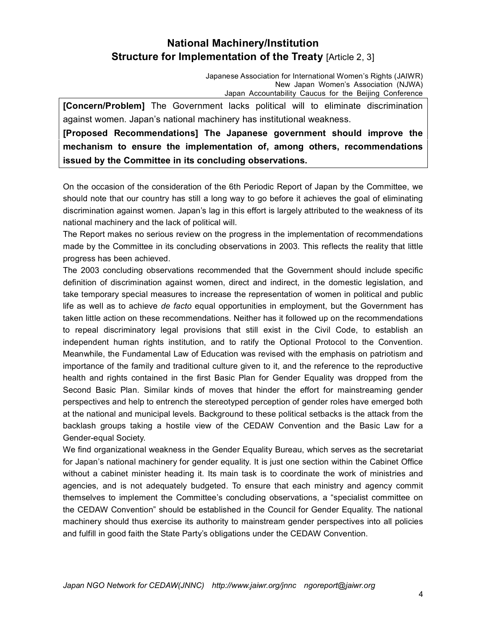# **National Machinery/Institution Structure for Implementation of the Treaty [Article 2, 3]**

Japanese Association for International Women's Rights (JAIWR) New Japan Women's Association (NJWA) Japan Accountability Caucus for the Beijing Conference

**[Concern/Problem]** The Government lacks political will to eliminate discrimination against women. Japan's national machinery has institutional weakness.

**[Proposed Recommendations] The Japanese government should improve the mechanism to ensure the implementation of, among others, recommendations issued by the Committee in its concluding observations.** 

On the occasion of the consideration of the 6th Periodic Report of Japan by the Committee, we should note that our country has still a long way to go before it achieves the goal of eliminating discrimination against women. Japan's lag in this effort is largely attributed to the weakness of its national machinery and the lack of political will.

The Report makes no serious review on the progress in the implementation of recommendations made by the Committee in its concluding observations in 2003. This reflects the reality that little progress has been achieved.

The 2003 concluding observations recommended that the Government should include specific definition of discrimination against women, direct and indirect, in the domestic legislation, and take temporary special measures to increase the representation of women in political and public life as well as to achieve *de facto* equal opportunities in employment, but the Government has taken little action on these recommendations. Neither has it followed up on the recommendations to repeal discriminatory legal provisions that still exist in the Civil Code, to establish an independent human rights institution, and to ratify the Optional Protocol to the Convention. Meanwhile, the Fundamental Law of Education was revised with the emphasis on patriotism and importance of the family and traditional culture given to it, and the reference to the reproductive health and rights contained in the first Basic Plan for Gender Equality was dropped from the Second Basic Plan. Similar kinds of moves that hinder the effort for mainstreaming gender perspectives and help to entrench the stereotyped perception of gender roles have emerged both at the national and municipal levels. Background to these political setbacks is the attack from the backlash groups taking a hostile view of the CEDAW Convention and the Basic Law for a Gender-equal Society.

We find organizational weakness in the Gender Equality Bureau, which serves as the secretariat for Japan's national machinery for gender equality. It is just one section within the Cabinet Office without a cabinet minister heading it. Its main task is to coordinate the work of ministries and agencies, and is not adequately budgeted. To ensure that each ministry and agency commit themselves to implement the Committee's concluding observations, a "specialist committee on the CEDAW Convention" should be established in the Council for Gender Equality. The national machinery should thus exercise its authority to mainstream gender perspectives into all policies and fulfill in good faith the State Party's obligations under the CEDAW Convention.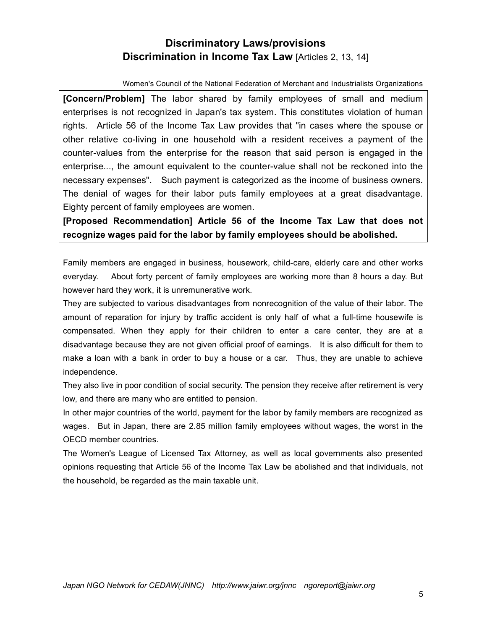# **Discriminatory Laws/provisions Discrimination in Income Tax Law [Articles 2, 13, 14]**

Women's Council of the National Federation of Merchant and Industrialists Organizations

**[Concern/Problem]** The labor shared by family employees of small and medium enterprises is not recognized in Japan's tax system. This constitutes violation of human rights. Article 56 of the Income Tax Law provides that "in cases where the spouse or other relative co-living in one household with a resident receives a payment of the counter-values from the enterprise for the reason that said person is engaged in the enterprise..., the amount equivalent to the counter-value shall not be reckoned into the necessary expenses". Such payment is categorized as the income of business owners. The denial of wages for their labor puts family employees at a great disadvantage. Eighty percent of family employees are women.

**[Proposed Recommendation] Article 56 of the Income Tax Law that does not recognize wages paid for the labor by family employees should be abolished.**

Family members are engaged in business, housework, child-care, elderly care and other works everyday. About forty percent of family employees are working more than 8 hours a day. But however hard they work, it is unremunerative work.

They are subjected to various disadvantages from nonrecognition of the value of their labor. The amount of reparation for injury by traffic accident is only half of what a full-time housewife is compensated. When they apply for their children to enter a care center, they are at a disadvantage because they are not given official proof of earnings. It is also difficult for them to make a loan with a bank in order to buy a house or a car. Thus, they are unable to achieve independence.

They also live in poor condition of social security. The pension they receive after retirement is very low, and there are many who are entitled to pension.

In other major countries of the world, payment for the labor by family members are recognized as wages. But in Japan, there are 2.85 million family employees without wages, the worst in the OECD member countries.

The Women's League of Licensed Tax Attorney, as well as local governments also presented opinions requesting that Article 56 of the Income Tax Law be abolished and that individuals, not the household, be regarded as the main taxable unit.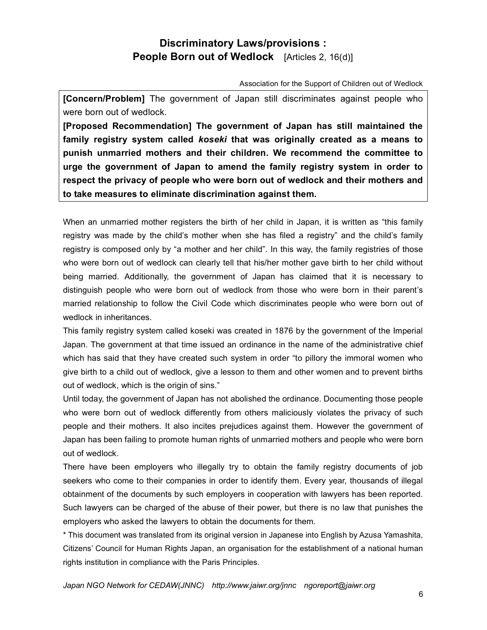## **Discriminatory Laws/provisions : People Born out of Wedlock** [Articles 2, 16(d)]

Association for the Support of Children out of Wedlock

**[Concern/Problem]** The government of Japan still discriminates against people who were born out of wedlock.

**[Proposed Recommendation] The government of Japan has still maintained the family registry system called** *koseki* **that was originally created as a means to punish unmarried mothers and their children. We recommend the committee to urge the government of Japan to amend the family registry system in order to respect the privacy of people who were born out of wedlock and their mothers and to take measures to eliminate discrimination against them.**

When an unmarried mother registers the birth of her child in Japan, it is written as "this family registry was made by the child's mother when she has filed a registry" and the child's family registry is composed only by "a mother and her child". In this way, the family registries of those who were born out of wedlock can clearly tell that his/her mother gave birth to her child without being married. Additionally, the government of Japan has claimed that it is necessary to distinguish people who were born out of wedlock from those who were born in their parent's married relationship to follow the Civil Code which discriminates people who were born out of wedlock in inheritances.

This family registry system called koseki was created in 1876 by the government of the Imperial Japan. The government at that time issued an ordinance in the name of the administrative chief which has said that they have created such system in order "to pillory the immoral women who give birth to a child out of wedlock, give a lesson to them and other women and to prevent births out of wedlock, which is the origin of sins."

Until today, the government of Japan has not abolished the ordinance. Documenting those people who were born out of wedlock differently from others maliciously violates the privacy of such people and their mothers. It also incites prejudices against them. However the government of Japan has been failing to promote human rights of unmarried mothers and people who were born out of wedlock.

There have been employers who illegally try to obtain the family registry documents of job seekers who come to their companies in order to identify them. Every year, thousands of illegal obtainment of the documents by such employers in cooperation with lawyers has been reported. Such lawyers can be charged of the abuse of their power, but there is no law that punishes the employers who asked the lawyers to obtain the documents for them.

\* This document was translated from its original version in Japanese into English by Azusa Yamashita, Citizens' Council for Human Rights Japan, an organisation for the establishment of a national human rights institution in compliance with the Paris Principles.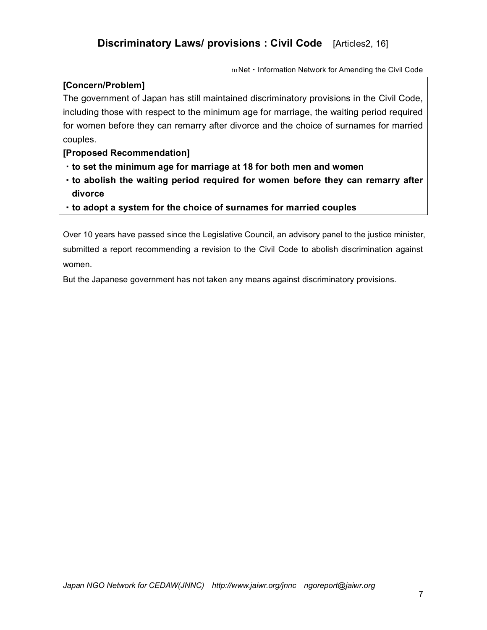mNet・Information Network for Amending the Civil Code

### **[Concern/Problem]**

The government of Japan has still maintained discriminatory provisions in the Civil Code, including those with respect to the minimum age for marriage, the waiting period required for women before they can remarry after divorce and the choice of surnames for married couples.

### **[Proposed Recommendation]**

- ・**to set the minimum age for marriage at 18 for both men and women**
- ・**to abolish the waiting period required for women before they can remarry after divorce**
- ・**to adopt a system for the choice of surnames for married couples**

Over 10 years have passed since the Legislative Council, an advisory panel to the justice minister, submitted a report recommending a revision to the Civil Code to abolish discrimination against women.

But the Japanese government has not taken any means against discriminatory provisions.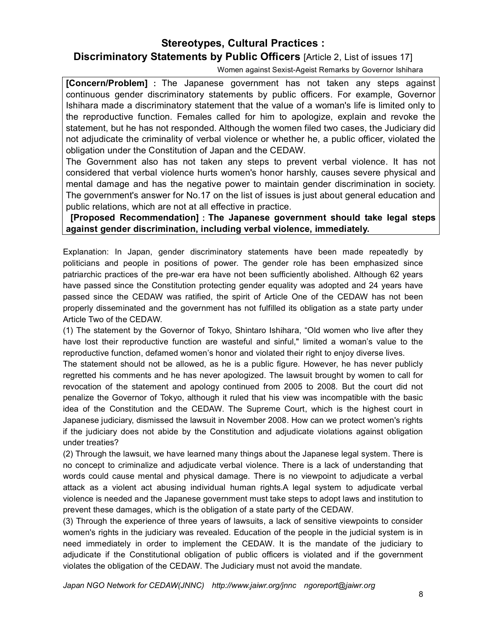**Stereotypes, Cultural Practices :** 

## **Discriminatory Statements by Public Officers** [Article 2, List of issues 17]

Women against Sexist-Ageist Remarks by Governor Ishihara

**[Concern/Problem]** : The Japanese government has not taken any steps against continuous gender discriminatory statements by public officers. For example, Governor Ishihara made a discriminatory statement that the value of a woman's life is limited only to the reproductive function. Females called for him to apologize, explain and revoke the statement, but he has not responded. Although the women filed two cases, the Judiciary did not adjudicate the criminality of verbal violence or whether he, a public officer, violated the obligation under the Constitution of Japan and the CEDAW.

The Government also has not taken any steps to prevent verbal violence. It has not considered that verbal violence hurts women's honor harshly, causes severe physical and mental damage and has the negative power to maintain gender discrimination in society. The government's answer for No.17 on the list of issues is just about general education and public relations, which are not at all effective in practice.

### **[Proposed Recommendation]**:**The Japanese government should take legal steps against gender discrimination, including verbal violence, immediately.**

Explanation: In Japan, gender discriminatory statements have been made repeatedly by politicians and people in positions of power. The gender role has been emphasized since patriarchic practices of the pre-war era have not been sufficiently abolished. Although 62 years have passed since the Constitution protecting gender equality was adopted and 24 years have passed since the CEDAW was ratified, the spirit of Article One of the CEDAW has not been properly disseminated and the government has not fulfilled its obligation as a state party under Article Two of the CEDAW.

(1) The statement by the Governor of Tokyo, Shintaro Ishihara, "Old women who live after they have lost their reproductive function are wasteful and sinful," limited a woman's value to the reproductive function, defamed women's honor and violated their right to enjoy diverse lives.

The statement should not be allowed, as he is a public figure. However, he has never publicly regretted his comments and he has never apologized. The lawsuit brought by women to call for revocation of the statement and apology continued from 2005 to 2008. But the court did not penalize the Governor of Tokyo, although it ruled that his view was incompatible with the basic idea of the Constitution and the CEDAW. The Supreme Court, which is the highest court in Japanese judiciary, dismissed the lawsuit in November 2008. How can we protect women's rights if the judiciary does not abide by the Constitution and adjudicate violations against obligation under treaties?

(2) Through the lawsuit, we have learned many things about the Japanese legal system. There is no concept to criminalize and adjudicate verbal violence. There is a lack of understanding that words could cause mental and physical damage. There is no viewpoint to adjudicate a verbal attack as a violent act abusing individual human rights.A legal system to adjudicate verbal violence is needed and the Japanese government must take steps to adopt laws and institution to prevent these damages, which is the obligation of a state party of the CEDAW.

(3) Through the experience of three years of lawsuits, a lack of sensitive viewpoints to consider women's rights in the judiciary was revealed. Education of the people in the judicial system is in need immediately in order to implement the CEDAW. It is the mandate of the judiciary to adjudicate if the Constitutional obligation of public officers is violated and if the government violates the obligation of the CEDAW. The Judiciary must not avoid the mandate.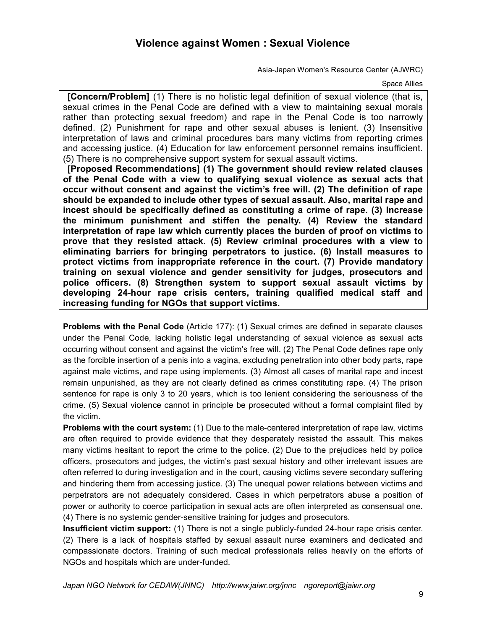## **Violence against Women : Sexual Violence**

Asia-Japan Women's Resource Center (AJWRC)

#### Space Allies

**[Concern/Problem]** (1) There is no holistic legal definition of sexual violence (that is, sexual crimes in the Penal Code are defined with a view to maintaining sexual morals rather than protecting sexual freedom) and rape in the Penal Code is too narrowly defined. (2) Punishment for rape and other sexual abuses is lenient. (3) Insensitive interpretation of laws and criminal procedures bars many victims from reporting crimes and accessing justice. (4) Education for law enforcement personnel remains insufficient. (5) There is no comprehensive support system for sexual assault victims.

**[Proposed Recommendations] (1) The government should review related clauses of the Penal Code with a view to qualifying sexual violence as sexual acts that occur without consent and against the victim's free will. (2) The definition of rape should be expanded to include other types of sexual assault. Also, marital rape and incest should be specifically defined as constituting a crime of rape. (3) Increase the minimum punishment and stiffen the penalty. (4) Review the standard interpretation of rape law which currently places the burden of proof on victims to prove that they resisted attack. (5) Review criminal procedures with a view to eliminating barriers for bringing perpetrators to justice. (6) Install measures to protect victims from inappropriate reference in the court. (7) Provide mandatory training on sexual violence and gender sensitivity for judges, prosecutors and police officers. (8) Strengthen system to support sexual assault victims by developing 24-hour rape crisis centers, training qualified medical staff and increasing funding for NGOs that support victims.**

**Problems with the Penal Code** (Article 177): (1) Sexual crimes are defined in separate clauses under the Penal Code, lacking holistic legal understanding of sexual violence as sexual acts occurring without consent and against the victim's free will. (2) The Penal Code defines rape only as the forcible insertion of a penis into a vagina, excluding penetration into other body parts, rape against male victims, and rape using implements. (3) Almost all cases of marital rape and incest remain unpunished, as they are not clearly defined as crimes constituting rape. (4) The prison sentence for rape is only 3 to 20 years, which is too lenient considering the seriousness of the crime. (5) Sexual violence cannot in principle be prosecuted without a formal complaint filed by the victim.

**Problems with the court system:** (1) Due to the male-centered interpretation of rape law, victims are often required to provide evidence that they desperately resisted the assault. This makes many victims hesitant to report the crime to the police. (2) Due to the prejudices held by police officers, prosecutors and judges, the victim's past sexual history and other irrelevant issues are often referred to during investigation and in the court, causing victims severe secondary suffering and hindering them from accessing justice. (3) The unequal power relations between victims and perpetrators are not adequately considered. Cases in which perpetrators abuse a position of power or authority to coerce participation in sexual acts are often interpreted as consensual one. (4) There is no systemic gender-sensitive training for judges and prosecutors.

**Insufficient victim support:** (1) There is not a single publicly-funded 24-hour rape crisis center. (2) There is a lack of hospitals staffed by sexual assault nurse examiners and dedicated and compassionate doctors. Training of such medical professionals relies heavily on the efforts of NGOs and hospitals which are under-funded.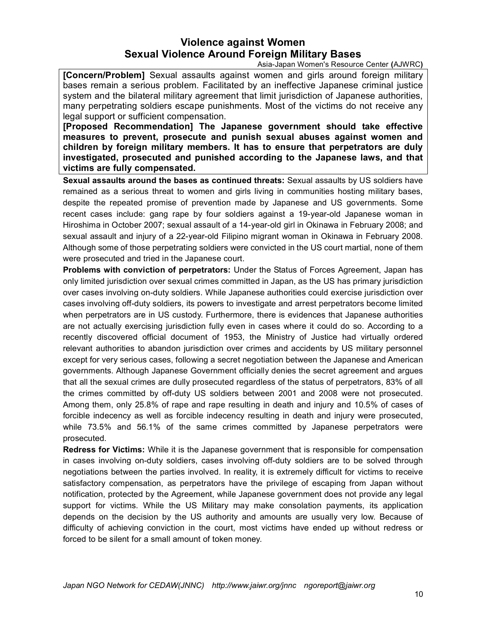## **Violence against Women Sexual Violence Around Foreign Military Bases**

Asia-Japan Women's Resource Center **(**AJWRC**)** 

**[Concern/Problem]** Sexual assaults against women and girls around foreign military bases remain a serious problem. Facilitated by an ineffective Japanese criminal justice system and the bilateral military agreement that limit jurisdiction of Japanese authorities, many perpetrating soldiers escape punishments. Most of the victims do not receive any legal support or sufficient compensation.

**[Proposed Recommendation] The Japanese government should take effective measures to prevent, prosecute and punish sexual abuses against women and children by foreign military members. It has to ensure that perpetrators are duly investigated, prosecuted and punished according to the Japanese laws, and that victims are fully compensated.**

**Sexual assaults around the bases as continued threats:** Sexual assaults by US soldiers have remained as a serious threat to women and girls living in communities hosting military bases, despite the repeated promise of prevention made by Japanese and US governments. Some recent cases include: gang rape by four soldiers against a 19-year-old Japanese woman in Hiroshima in October 2007; sexual assault of a 14-year-old girl in Okinawa in February 2008; and sexual assault and injury of a 22-year-old Filipino migrant woman in Okinawa in February 2008. Although some of those perpetrating soldiers were convicted in the US court martial, none of them were prosecuted and tried in the Japanese court.

**Problems with conviction of perpetrators:** Under the Status of Forces Agreement, Japan has only limited jurisdiction over sexual crimes committed in Japan, as the US has primary jurisdiction over cases involving on-duty soldiers. While Japanese authorities could exercise jurisdiction over cases involving off-duty soldiers, its powers to investigate and arrest perpetrators become limited when perpetrators are in US custody. Furthermore, there is evidences that Japanese authorities are not actually exercising jurisdiction fully even in cases where it could do so. According to a recently discovered official document of 1953, the Ministry of Justice had virtually ordered relevant authorities to abandon jurisdiction over crimes and accidents by US military personnel except for very serious cases, following a secret negotiation between the Japanese and American governments. Although Japanese Government officially denies the secret agreement and argues that all the sexual crimes are dully prosecuted regardless of the status of perpetrators, 83% of all the crimes committed by off-duty US soldiers between 2001 and 2008 were not prosecuted. Among them, only 25.8% of rape and rape resulting in death and injury and 10.5% of cases of forcible indecency as well as forcible indecency resulting in death and injury were prosecuted, while 73.5% and 56.1% of the same crimes committed by Japanese perpetrators were prosecuted.

**Redress for Victims:** While it is the Japanese government that is responsible for compensation in cases involving on-duty soldiers, cases involving off-duty soldiers are to be solved through negotiations between the parties involved. In reality, it is extremely difficult for victims to receive satisfactory compensation, as perpetrators have the privilege of escaping from Japan without notification, protected by the Agreement, while Japanese government does not provide any legal support for victims. While the US Military may make consolation payments, its application depends on the decision by the US authority and amounts are usually very low. Because of difficulty of achieving conviction in the court, most victims have ended up without redress or forced to be silent for a small amount of token money.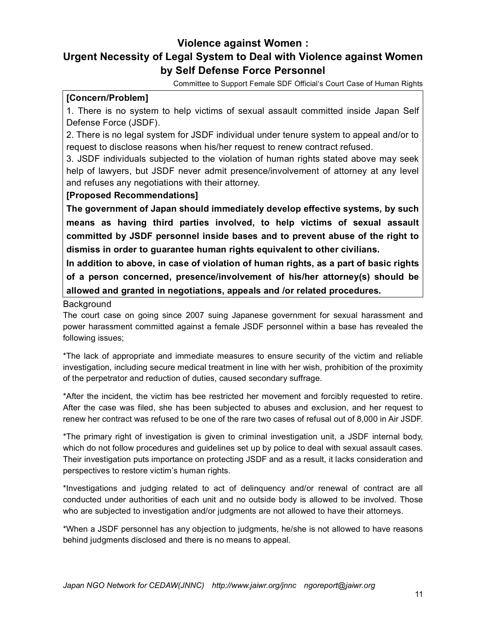## **Violence against Women : Urgent Necessity of Legal System to Deal with Violence against Women by Self Defense Force Personnel**

Committee to Support Female SDF Official's Court Case of Human Rights

### **[Concern/Problem]**

1. There is no system to help victims of sexual assault committed inside Japan Self Defense Force (JSDF).

2. There is no legal system for JSDF individual under tenure system to appeal and/or to request to disclose reasons when his/her request to renew contract refused.

3. JSDF individuals subjected to the violation of human rights stated above may seek help of lawyers, but JSDF never admit presence/involvement of attorney at any level and refuses any negotiations with their attorney.

### **[Proposed Recommendations]**

**The government of Japan should immediately develop effective systems, by such means as having third parties involved, to help victims of sexual assault committed by JSDF personnel inside bases and to prevent abuse of the right to dismiss in order to guarantee human rights equivalent to other civilians.**

**In addition to above, in case of violation of human rights, as a part of basic rights of a person concerned, presence/involvement of his/her attorney(s) should be allowed and granted in negotiations, appeals and /or related procedures.**

### Background

The court case on going since 2007 suing Japanese government for sexual harassment and power harassment committed against a female JSDF personnel within a base has revealed the following issues;

\*The lack of appropriate and immediate measures to ensure security of the victim and reliable investigation, including secure medical treatment in line with her wish, prohibition of the proximity of the perpetrator and reduction of duties, caused secondary suffrage.

\*After the incident, the victim has bee restricted her movement and forcibly requested to retire. After the case was filed, she has been subjected to abuses and exclusion, and her request to renew her contract was refused to be one of the rare two cases of refusal out of 8,000 in Air JSDF.

\*The primary right of investigation is given to criminal investigation unit, a JSDF internal body, which do not follow procedures and guidelines set up by police to deal with sexual assault cases. Their investigation puts importance on protecting JSDF and as a result, it lacks consideration and perspectives to restore victim's human rights.

\*Investigations and judging related to act of delinquency and/or renewal of contract are all conducted under authorities of each unit and no outside body is allowed to be involved. Those who are subjected to investigation and/or judgments are not allowed to have their attorneys.

\*When a JSDF personnel has any objection to judgments, he/she is not allowed to have reasons behind judgments disclosed and there is no means to appeal.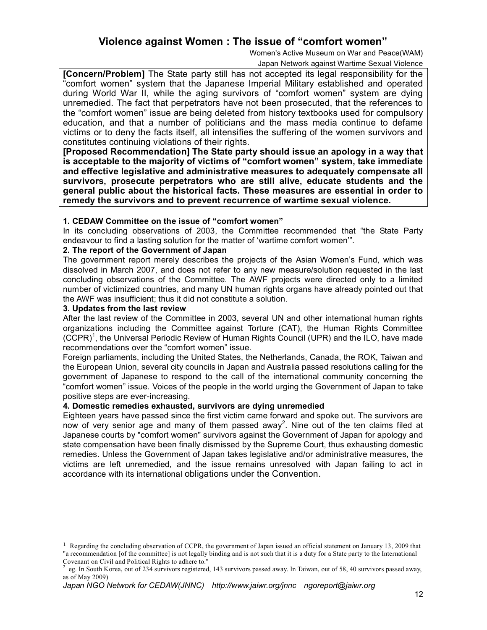### **Violence against Women : The issue of "comfort women"**

Women's Active Museum on War and Peace(WAM)

Japan Network against Wartime Sexual Violence

**[Concern/Problem]** The State party still has not accepted its legal responsibility for the "comfort women" system that the Japanese Imperial Military established and operated during World War II, while the aging survivors of "comfort women" system are dying unremedied. The fact that perpetrators have not been prosecuted, that the references to the "comfort women" issue are being deleted from history textbooks used for compulsory education, and that a number of politicians and the mass media continue to defame victims or to deny the facts itself, all intensifies the suffering of the women survivors and constitutes continuing violations of their rights.

**[Proposed Recommendation] The State party should issue an apology in a way that is acceptable to the majority of victims of "comfort women" system, take immediate and effective legislative and administrative measures to adequately compensate all survivors, prosecute perpetrators who are still alive, educate students and the general public about the historical facts. These measures are essential in order to remedy the survivors and to prevent recurrence of wartime sexual violence.**

### **1. CEDAW Committee on the issue of "comfort women"**

In its concluding observations of 2003, the Committee recommended that "the State Party endeavour to find a lasting solution for the matter of 'wartime comfort women'".

### **2. The report of the Government of Japan**

The government report merely describes the projects of the Asian Women's Fund, which was dissolved in March 2007, and does not refer to any new measure/solution requested in the last concluding observations of the Committee. The AWF projects were directed only to a limited number of victimized countries, and many UN human rights organs have already pointed out that the AWF was insufficient; thus it did not constitute a solution.

### **3. Updates from the last review**

l

After the last review of the Committee in 2003, several UN and other international human rights organizations including the Committee against Torture (CAT), the Human Rights Committee (CCPR)<sup>1</sup>, the Universal Periodic Review of Human Rights Council (UPR) and the ILO, have made recommendations over the "comfort women" issue.

Foreign parliaments, including the United States, the Netherlands, Canada, the ROK, Taiwan and the European Union, several city councils in Japan and Australia passed resolutions calling for the government of Japanese to respond to the call of the international community concerning the "comfort women" issue. Voices of the people in the world urging the Government of Japan to take positive steps are ever-increasing.

### **4. Domestic remedies exhausted, survivors are dying unremedied**

Eighteen years have passed since the first victim came forward and spoke out. The survivors are now of very senior age and many of them passed away<sup>2</sup>. Nine out of the ten claims filed at Japanese courts by "comfort women" survivors against the Government of Japan for apology and state compensation have been finally dismissed by the Supreme Court, thus exhausting domestic remedies. Unless the Government of Japan takes legislative and/or administrative measures, the victims are left unremedied, and the issue remains unresolved with Japan failing to act in accordance with its international obligations under the Convention.

<sup>1</sup> Regarding the concluding observation of CCPR, the government of Japan issued an official statement on January 13, 2009 that "a recommendation [of the committee] is not legally binding and is not such that it is a duty for a State party to the International Covenant on Civil and Political Rights to adhere to."

<sup>2</sup> eg. In South Korea, out of 234 survivors registered, 143 survivors passed away. In Taiwan, out of 58, 40 survivors passed away, as of May 2009)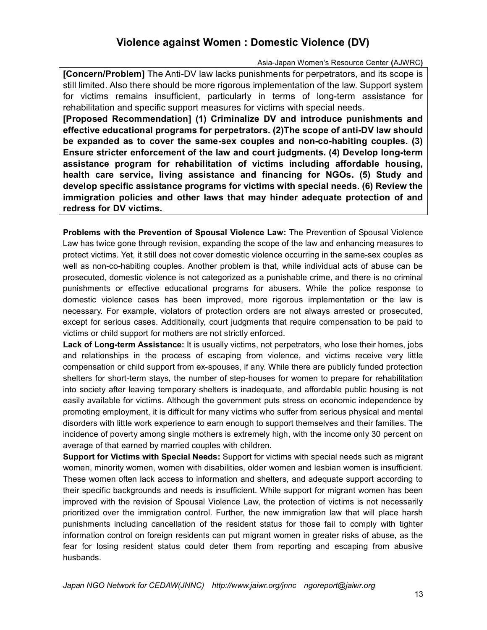# **Violence against Women : Domestic Violence (DV)**

Asia-Japan Women's Resource Center **(**AJWRC**)** 

**[Concern/Problem]** The Anti-DV law lacks punishments for perpetrators, and its scope is still limited. Also there should be more rigorous implementation of the law. Support system for victims remains insufficient, particularly in terms of long-term assistance for rehabilitation and specific support measures for victims with special needs.

**[Proposed Recommendation] (1) Criminalize DV and introduce punishments and effective educational programs for perpetrators. (2)The scope of anti-DV law should be expanded as to cover the same-sex couples and non-co-habiting couples. (3) Ensure stricter enforcement of the law and court judgments. (4) Develop long-term assistance program for rehabilitation of victims including affordable housing, health care service, living assistance and financing for NGOs. (5) Study and develop specific assistance programs for victims with special needs. (6) Review the immigration policies and other laws that may hinder adequate protection of and redress for DV victims.**

**Problems with the Prevention of Spousal Violence Law:** The Prevention of Spousal Violence Law has twice gone through revision, expanding the scope of the law and enhancing measures to protect victims. Yet, it still does not cover domestic violence occurring in the same-sex couples as well as non-co-habiting couples. Another problem is that, while individual acts of abuse can be prosecuted, domestic violence is not categorized as a punishable crime, and there is no criminal punishments or effective educational programs for abusers. While the police response to domestic violence cases has been improved, more rigorous implementation or the law is necessary. For example, violators of protection orders are not always arrested or prosecuted, except for serious cases. Additionally, court judgments that require compensation to be paid to victims or child support for mothers are not strictly enforced.

**Lack of Long-term Assistance:** It is usually victims, not perpetrators, who lose their homes, jobs and relationships in the process of escaping from violence, and victims receive very little compensation or child support from ex-spouses, if any. While there are publicly funded protection shelters for short-term stays, the number of step-houses for women to prepare for rehabilitation into society after leaving temporary shelters is inadequate, and affordable public housing is not easily available for victims. Although the government puts stress on economic independence by promoting employment, it is difficult for many victims who suffer from serious physical and mental disorders with little work experience to earn enough to support themselves and their families. The incidence of poverty among single mothers is extremely high, with the income only 30 percent on average of that earned by married couples with children.

**Support for Victims with Special Needs:** Support for victims with special needs such as migrant women, minority women, women with disabilities, older women and lesbian women is insufficient. These women often lack access to information and shelters, and adequate support according to their specific backgrounds and needs is insufficient. While support for migrant women has been improved with the revision of Spousal Violence Law, the protection of victims is not necessarily prioritized over the immigration control. Further, the new immigration law that will place harsh punishments including cancellation of the resident status for those fail to comply with tighter information control on foreign residents can put migrant women in greater risks of abuse, as the fear for losing resident status could deter them from reporting and escaping from abusive husbands.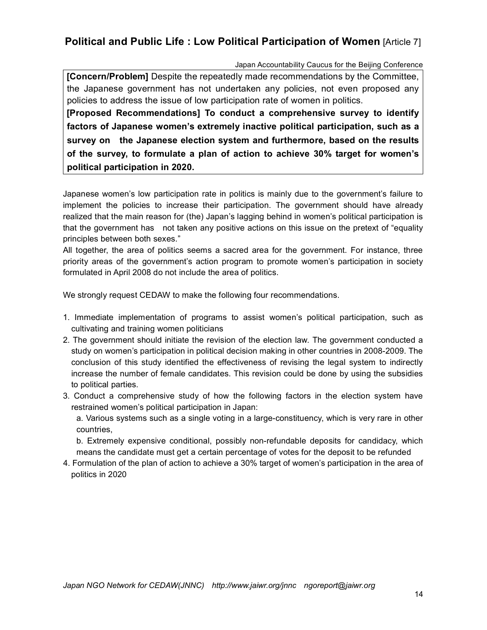## **Political and Public Life : Low Political Participation of Women** [Article 7]

Japan Accountability Caucus for the Beijing Conference

**[Concern/Problem]** Despite the repeatedly made recommendations by the Committee, the Japanese government has not undertaken any policies, not even proposed any policies to address the issue of low participation rate of women in politics.

**[Proposed Recommendations] To conduct a comprehensive survey to identify factors of Japanese women's extremely inactive political participation, such as a survey on the Japanese election system and furthermore, based on the results of the survey, to formulate a plan of action to achieve 30% target for women's political participation in 2020.** 

Japanese women's low participation rate in politics is mainly due to the government's failure to implement the policies to increase their participation. The government should have already realized that the main reason for (the) Japan's lagging behind in women's political participation is that the government has not taken any positive actions on this issue on the pretext of "equality principles between both sexes."

All together, the area of politics seems a sacred area for the government. For instance, three priority areas of the government's action program to promote women's participation in society formulated in April 2008 do not include the area of politics.

We strongly request CEDAW to make the following four recommendations.

- 1. Immediate implementation of programs to assist women's political participation, such as cultivating and training women politicians
- 2. The government should initiate the revision of the election law. The government conducted a study on women's participation in political decision making in other countries in 2008-2009. The conclusion of this study identified the effectiveness of revising the legal system to indirectly increase the number of female candidates. This revision could be done by using the subsidies to political parties.
- 3. Conduct a comprehensive study of how the following factors in the election system have restrained women's political participation in Japan:

a. Various systems such as a single voting in a large-constituency, which is very rare in other countries,

b. Extremely expensive conditional, possibly non-refundable deposits for candidacy, which means the candidate must get a certain percentage of votes for the deposit to be refunded

4. Formulation of the plan of action to achieve a 30% target of women's participation in the area of politics in 2020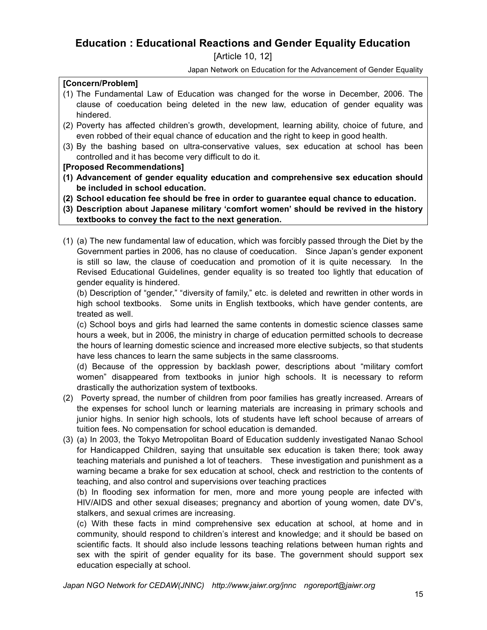## **Education : Educational Reactions and Gender Equality Education**

[Article 10, 12]

Japan Network on Education for the Advancement of Gender Equality

### **[Concern/Problem]**

- (1) The Fundamental Law of Education was changed for the worse in December, 2006. The clause of coeducation being deleted in the new law, education of gender equality was hindered.
- (2) Poverty has affected children's growth, development, learning ability, choice of future, and even robbed of their equal chance of education and the right to keep in good health.
- (3) By the bashing based on ultra-conservative values, sex education at school has been controlled and it has become very difficult to do it.
- **[Proposed Recommendations]**
- **(1) Advancement of gender equality education and comprehensive sex education should be included in school education.**
- **(2) School education fee should be free in order to guarantee equal chance to education.**
- **(3) Description about Japanese military 'comfort women' should be revived in the history textbooks to convey the fact to the next generation.**
- (1) (a) The new fundamental law of education, which was forcibly passed through the Diet by the Government parties in 2006, has no clause of coeducation. Since Japan's gender exponent is still so law, the clause of coeducation and promotion of it is quite necessary. In the Revised Educational Guidelines, gender equality is so treated too lightly that education of gender equality is hindered.

(b) Description of "gender," "diversity of family," etc. is deleted and rewritten in other words in high school textbooks. Some units in English textbooks, which have gender contents, are treated as well.

(c) School boys and girls had learned the same contents in domestic science classes same hours a week, but in 2006, the ministry in charge of education permitted schools to decrease the hours of learning domestic science and increased more elective subjects, so that students have less chances to learn the same subjects in the same classrooms.

(d) Because of the oppression by backlash power, descriptions about "military comfort women" disappeared from textbooks in junior high schools. It is necessary to reform drastically the authorization system of textbooks.

- (2) Poverty spread, the number of children from poor families has greatly increased. Arrears of the expenses for school lunch or learning materials are increasing in primary schools and junior highs. In senior high schools, lots of students have left school because of arrears of tuition fees. No compensation for school education is demanded.
- (3) (a) In 2003, the Tokyo Metropolitan Board of Education suddenly investigated Nanao School for Handicapped Children, saying that unsuitable sex education is taken there; took away teaching materials and punished a lot of teachers. These investigation and punishment as a warning became a brake for sex education at school, check and restriction to the contents of teaching, and also control and supervisions over teaching practices

(b) In flooding sex information for men, more and more young people are infected with HIV/AIDS and other sexual diseases; pregnancy and abortion of young women, date DV's, stalkers, and sexual crimes are increasing.

(c) With these facts in mind comprehensive sex education at school, at home and in community, should respond to children's interest and knowledge; and it should be based on scientific facts. It should also include lessons teaching relations between human rights and sex with the spirit of gender equality for its base. The government should support sex education especially at school.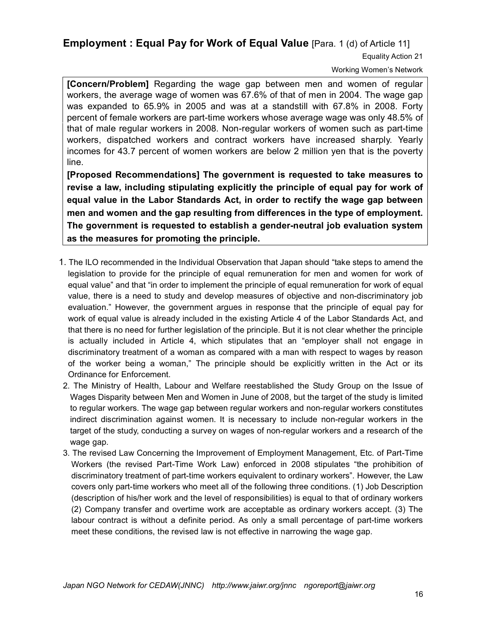**Employment : Equal Pay for Work of Equal Value** [Para. 1 (d) of Article 11]

Equality Action 21

Working Women's Network

**[Concern/Problem]** Regarding the wage gap between men and women of regular workers, the average wage of women was 67.6% of that of men in 2004. The wage gap was expanded to 65.9% in 2005 and was at a standstill with 67.8% in 2008. Forty percent of female workers are part-time workers whose average wage was only 48.5% of that of male regular workers in 2008. Non-regular workers of women such as part-time workers, dispatched workers and contract workers have increased sharply. Yearly incomes for 43.7 percent of women workers are below 2 million yen that is the poverty line.

**[Proposed Recommendations] The government is requested to take measures to revise a law, including stipulating explicitly the principle of equal pay for work of equal value in the Labor Standards Act, in order to rectify the wage gap between men and women and the gap resulting from differences in the type of employment. The government is requested to establish a gender-neutral job evaluation system as the measures for promoting the principle.**

- 1. The ILO recommended in the Individual Observation that Japan should "take steps to amend the legislation to provide for the principle of equal remuneration for men and women for work of equal value" and that "in order to implement the principle of equal remuneration for work of equal value, there is a need to study and develop measures of objective and non-discriminatory job evaluation." However, the government argues in response that the principle of equal pay for work of equal value is already included in the existing Article 4 of the Labor Standards Act, and that there is no need for further legislation of the principle. But it is not clear whether the principle is actually included in Article 4, which stipulates that an "employer shall not engage in discriminatory treatment of a woman as compared with a man with respect to wages by reason of the worker being a woman," The principle should be explicitly written in the Act or its Ordinance for Enforcement.
- 2. The Ministry of Health, Labour and Welfare reestablished the Study Group on the Issue of Wages Disparity between Men and Women in June of 2008, but the target of the study is limited to regular workers. The wage gap between regular workers and non-regular workers constitutes indirect discrimination against women. It is necessary to include non-regular workers in the target of the study, conducting a survey on wages of non-regular workers and a research of the wage gap.
- 3. The revised Law Concerning the Improvement of Employment Management, Etc. of Part-Time Workers (the revised Part-Time Work Law) enforced in 2008 stipulates "the prohibition of discriminatory treatment of part-time workers equivalent to ordinary workers". However, the Law covers only part-time workers who meet all of the following three conditions. (1) Job Description (description of his/her work and the level of responsibilities) is equal to that of ordinary workers (2) Company transfer and overtime work are acceptable as ordinary workers accept. (3) The labour contract is without a definite period. As only a small percentage of part-time workers meet these conditions, the revised law is not effective in narrowing the wage gap.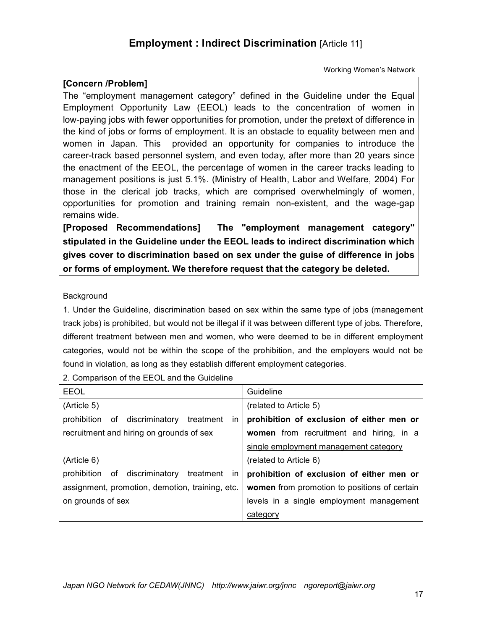## **Employment : Indirect Discrimination** [Article 11]

Working Women's Network

### **[Concern /Problem]**

The "employment management category" defined in the Guideline under the Equal Employment Opportunity Law (EEOL) leads to the concentration of women in low-paying jobs with fewer opportunities for promotion, under the pretext of difference in the kind of jobs or forms of employment. It is an obstacle to equality between men and women in Japan. This provided an opportunity for companies to introduce the career-track based personnel system, and even today, after more than 20 years since the enactment of the EEOL, the percentage of women in the career tracks leading to management positions is just 5.1%. (Ministry of Health, Labor and Welfare, 2004) For those in the clerical job tracks, which are comprised overwhelmingly of women, opportunities for promotion and training remain non-existent, and the wage-gap remains wide.

**[Proposed Recommendations] The "employment management category" stipulated in the Guideline under the EEOL leads to indirect discrimination which gives cover to discrimination based on sex under the guise of difference in jobs or forms of employment. We therefore request that the category be deleted.**

### Background

1. Under the Guideline, discrimination based on sex within the same type of jobs (management track jobs) is prohibited, but would not be illegal if it was between different type of jobs. Therefore, different treatment between men and women, who were deemed to be in different employment categories, would not be within the scope of the prohibition, and the employers would not be found in violation, as long as they establish different employment categories.

|  | 2. Comparison of the EEOL and the Guideline |  |  |  |  |
|--|---------------------------------------------|--|--|--|--|
|--|---------------------------------------------|--|--|--|--|

| <b>EEOL</b>                                         | Guideline                                    |
|-----------------------------------------------------|----------------------------------------------|
| (Article 5)                                         | (related to Article 5)                       |
| of discriminatory<br>treatment<br>prohibition<br>ın | prohibition of exclusion of either men or    |
| recruitment and hiring on grounds of sex            | women from recruitment and hiring, in a      |
|                                                     | single employment management category        |
| (Article 6)                                         | (related to Article 6)                       |
| of discriminatory<br>treatment<br>prohibition<br>ın | prohibition of exclusion of either men or    |
| assignment, promotion, demotion, training, etc.     | women from promotion to positions of certain |
| on grounds of sex                                   | levels in a single employment management     |
|                                                     | category                                     |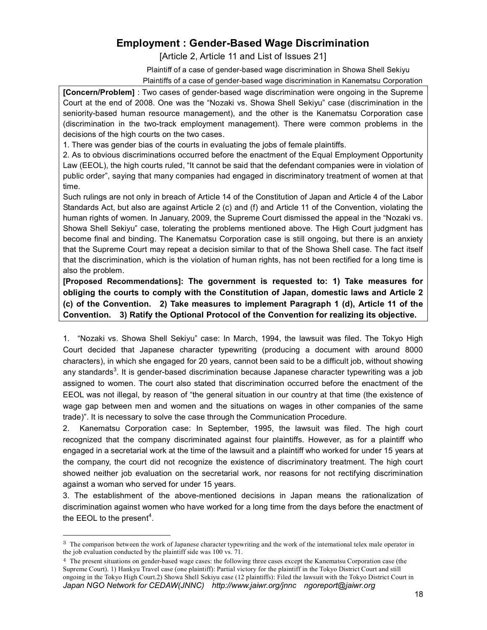# **Employment : Gender-Based Wage Discrimination**

[Article 2, Article 11 and List of Issues 21]

Plaintiff of a case of gender-based wage discrimination in Showa Shell Sekiyu

Plaintiffs of a case of gender-based wage discrimination in Kanematsu Corporation

**[Concern/Problem]** : Two cases of gender-based wage discrimination were ongoing in the Supreme Court at the end of 2008. One was the "Nozaki vs. Showa Shell Sekiyu" case (discrimination in the seniority-based human resource management), and the other is the Kanematsu Corporation case (discrimination in the two-track employment management). There were common problems in the decisions of the high courts on the two cases.

1. There was gender bias of the courts in evaluating the jobs of female plaintiffs.

2. As to obvious discriminations occurred before the enactment of the Equal Employment Opportunity Law (EEOL), the high courts ruled, "It cannot be said that the defendant companies were in violation of public order", saying that many companies had engaged in discriminatory treatment of women at that time.

Such rulings are not only in breach of Article 14 of the Constitution of Japan and Article 4 of the Labor Standards Act, but also are against Article 2 (c) and (f) and Article 11 of the Convention, violating the human rights of women. In January, 2009, the Supreme Court dismissed the appeal in the "Nozaki vs. Showa Shell Sekiyu" case, tolerating the problems mentioned above. The High Court judgment has become final and binding. The Kanematsu Corporation case is still ongoing, but there is an anxiety that the Supreme Court may repeat a decision similar to that of the Showa Shell case. The fact itself that the discrimination, which is the violation of human rights, has not been rectified for a long time is also the problem.

**[Proposed Recommendations]: The government is requested to: 1) Take measures for obliging the courts to comply with the Constitution of Japan, domestic laws and Article 2 (c) of the Convention. 2) Take measures to implement Paragraph 1 (d), Article 11 of the Convention. 3) Ratify the Optional Protocol of the Convention for realizing its objective.**

1. "Nozaki vs. Showa Shell Sekiyu" case: In March, 1994, the lawsuit was filed. The Tokyo High Court decided that Japanese character typewriting (producing a document with around 8000 characters), in which she engaged for 20 years, cannot been said to be a difficult job, without showing any standards<sup>3</sup>. It is gender-based discrimination because Japanese character typewriting was a job assigned to women. The court also stated that discrimination occurred before the enactment of the EEOL was not illegal, by reason of "the general situation in our country at that time (the existence of wage gap between men and women and the situations on wages in other companies of the same trade)". It is necessary to solve the case through the Communication Procedure.

2. Kanematsu Corporation case: In September, 1995, the lawsuit was filed. The high court recognized that the company discriminated against four plaintiffs. However, as for a plaintiff who engaged in a secretarial work at the time of the lawsuit and a plaintiff who worked for under 15 years at the company, the court did not recognize the existence of discriminatory treatment. The high court showed neither job evaluation on the secretarial work, nor reasons for not rectifying discrimination against a woman who served for under 15 years.

3. The establishment of the above-mentioned decisions in Japan means the rationalization of discrimination against women who have worked for a long time from the days before the enactment of the EEOL to the present<sup>4</sup>.

l

<sup>&</sup>lt;sup>3</sup> The comparison between the work of Japanese character typewriting and the work of the international telex male operator in the job evaluation conducted by the plaintiff side was 100 vs. 71.

*Japan NGO Network for CEDAW(JNNC) http://www.jaiwr.org/jnnc ngoreport@jaiwr.org* <sup>4</sup> The present situations on gender-based wage cases: the following three cases except the Kanematsu Corporation case (the Supreme Court). 1) Hankyu Travel case (one plaintiff): Partial victory for the plaintiff in the Tokyo District Court and still ongoing in the Tokyo High Court.2) Showa Shell Sekiyu case (12 plaintiffs): Filed the lawsuit with the Tokyo District Court in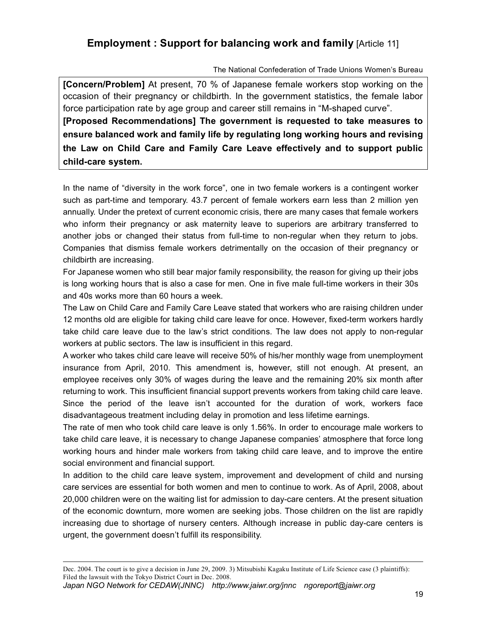# **Employment : Support for balancing work and family** [Article 11]

### The National Confederation of Trade Unions Women's Bureau

**[Concern/Problem]** At present, 70 % of Japanese female workers stop working on the occasion of their pregnancy or childbirth. In the government statistics, the female labor force participation rate by age group and career still remains in "M-shaped curve". **[Proposed Recommendations] The government is requested to take measures to ensure balanced work and family life by regulating long working hours and revising the Law on Child Care and Family Care Leave effectively and to support public child-care system.** 

In the name of "diversity in the work force", one in two female workers is a contingent worker such as part-time and temporary. 43.7 percent of female workers earn less than 2 million yen annually. Under the pretext of current economic crisis, there are many cases that female workers who inform their pregnancy or ask maternity leave to superiors are arbitrary transferred to another jobs or changed their status from full-time to non-regular when they return to jobs. Companies that dismiss female workers detrimentally on the occasion of their pregnancy or childbirth are increasing.

For Japanese women who still bear major family responsibility, the reason for giving up their jobs is long working hours that is also a case for men. One in five male full-time workers in their 30s and 40s works more than 60 hours a week.

The Law on Child Care and Family Care Leave stated that workers who are raising children under 12 months old are eligible for taking child care leave for once. However, fixed-term workers hardly take child care leave due to the law's strict conditions. The law does not apply to non-regular workers at public sectors. The law is insufficient in this regard.

A worker who takes child care leave will receive 50% of his/her monthly wage from unemployment insurance from April, 2010. This amendment is, however, still not enough. At present, an employee receives only 30% of wages during the leave and the remaining 20% six month after returning to work. This insufficient financial support prevents workers from taking child care leave. Since the period of the leave isn't accounted for the duration of work, workers face disadvantageous treatment including delay in promotion and less lifetime earnings.

The rate of men who took child care leave is only 1.56%. In order to encourage male workers to take child care leave, it is necessary to change Japanese companies' atmosphere that force long working hours and hinder male workers from taking child care leave, and to improve the entire social environment and financial support.

In addition to the child care leave system, improvement and development of child and nursing care services are essential for both women and men to continue to work. As of April, 2008, about 20,000 children were on the waiting list for admission to day-care centers. At the present situation of the economic downturn, more women are seeking jobs. Those children on the list are rapidly increasing due to shortage of nursery centers. Although increase in public day-care centers is urgent, the government doesn't fulfill its responsibility.

Dec. 2004. The court is to give a decision in June 29, 2009. 3) Mitsubishi Kagaku Institute of Life Science case (3 plaintiffs): Filed the lawsuit with the Tokyo District Court in Dec. 2008.

*Japan NGO Network for CEDAW(JNNC) http://www.jaiwr.org/jnnc ngoreport@jaiwr.org*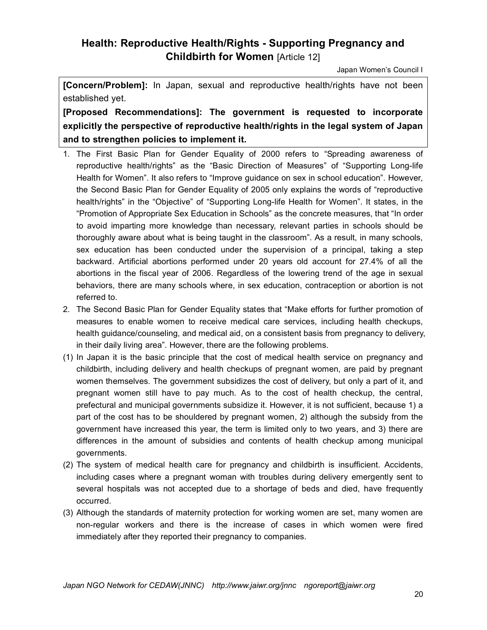# **Health: Reproductive Health/Rights - Supporting Pregnancy and Childbirth for Women** [Article 12]

Japan Women's Council I

**[Concern/Problem]:** In Japan, sexual and reproductive health/rights have not been established yet.

**[Proposed Recommendations]: The government is requested to incorporate explicitly the perspective of reproductive health/rights in the legal system of Japan and to strengthen policies to implement it.** 

- 1. The First Basic Plan for Gender Equality of 2000 refers to "Spreading awareness of reproductive health/rights" as the "Basic Direction of Measures" of "Supporting Long-life Health for Women". It also refers to "Improve guidance on sex in school education". However, the Second Basic Plan for Gender Equality of 2005 only explains the words of "reproductive health/rights" in the "Objective" of "Supporting Long-life Health for Women". It states, in the "Promotion of Appropriate Sex Education in Schools" as the concrete measures, that "In order to avoid imparting more knowledge than necessary, relevant parties in schools should be thoroughly aware about what is being taught in the classroom". As a result, in many schools, sex education has been conducted under the supervision of a principal, taking a step backward. Artificial abortions performed under 20 years old account for 27.4% of all the abortions in the fiscal year of 2006. Regardless of the lowering trend of the age in sexual behaviors, there are many schools where, in sex education, contraception or abortion is not referred to.
- 2. The Second Basic Plan for Gender Equality states that "Make efforts for further promotion of measures to enable women to receive medical care services, including health checkups, health guidance/counseling, and medical aid, on a consistent basis from pregnancy to delivery, in their daily living area". However, there are the following problems.
- (1) In Japan it is the basic principle that the cost of medical health service on pregnancy and childbirth, including delivery and health checkups of pregnant women, are paid by pregnant women themselves. The government subsidizes the cost of delivery, but only a part of it, and pregnant women still have to pay much. As to the cost of health checkup, the central, prefectural and municipal governments subsidize it. However, it is not sufficient, because 1) a part of the cost has to be shouldered by pregnant women, 2) although the subsidy from the government have increased this year, the term is limited only to two years, and 3) there are differences in the amount of subsidies and contents of health checkup among municipal governments.
- (2) The system of medical health care for pregnancy and childbirth is insufficient. Accidents, including cases where a pregnant woman with troubles during delivery emergently sent to several hospitals was not accepted due to a shortage of beds and died, have frequently occurred.
- (3) Although the standards of maternity protection for working women are set, many women are non-regular workers and there is the increase of cases in which women were fired immediately after they reported their pregnancy to companies.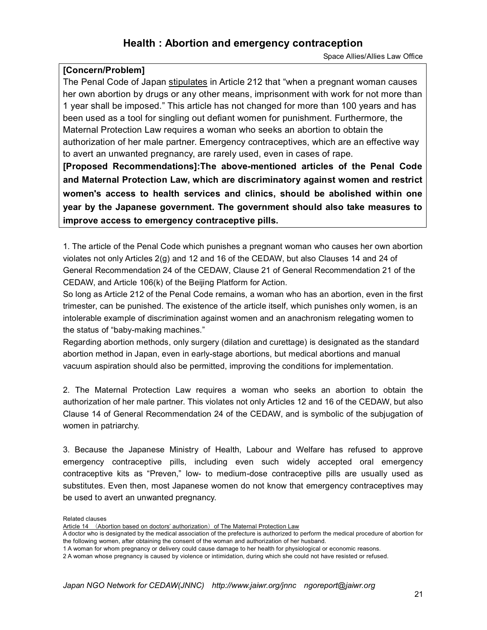## **Health : Abortion and emergency contraception**

Space Allies/Allies Law Office

### **[Concern/Problem]**

The Penal Code of Japan stipulates in Article 212 that "when a pregnant woman causes her own abortion by drugs or any other means, imprisonment with work for not more than 1 year shall be imposed." This article has not changed for more than 100 years and has been used as a tool for singling out defiant women for punishment. Furthermore, the Maternal Protection Law requires a woman who seeks an abortion to obtain the authorization of her male partner. Emergency contraceptives, which are an effective way to avert an unwanted pregnancy, are rarely used, even in cases of rape. **[Proposed Recommendations]:The above-mentioned articles of the Penal Code and Maternal Protection Law, which are discriminatory against women and restrict** 

**women's access to health services and clinics, should be abolished within one year by the Japanese government. The government should also take measures to improve access to emergency contraceptive pills.**

1. The article of the Penal Code which punishes a pregnant woman who causes her own abortion violates not only Articles 2(g) and 12 and 16 of the CEDAW, but also Clauses 14 and 24 of General Recommendation 24 of the CEDAW, Clause 21 of General Recommendation 21 of the CEDAW, and Article 106(k) of the Beijing Platform for Action.

So long as Article 212 of the Penal Code remains, a woman who has an abortion, even in the first trimester, can be punished. The existence of the article itself, which punishes only women, is an intolerable example of discrimination against women and an anachronism relegating women to the status of "baby-making machines."

Regarding abortion methods, only surgery (dilation and curettage) is designated as the standard abortion method in Japan, even in early-stage abortions, but medical abortions and manual vacuum aspiration should also be permitted, improving the conditions for implementation.

2. The Maternal Protection Law requires a woman who seeks an abortion to obtain the authorization of her male partner. This violates not only Articles 12 and 16 of the CEDAW, but also Clause 14 of General Recommendation 24 of the CEDAW, and is symbolic of the subjugation of women in patriarchy.

3. Because the Japanese Ministry of Health, Labour and Welfare has refused to approve emergency contraceptive pills, including even such widely accepted oral emergency contraceptive kits as "Preven," low- to medium-dose contraceptive pills are usually used as substitutes. Even then, most Japanese women do not know that emergency contraceptives may be used to avert an unwanted pregnancy.

Related clauses

Article 14 (Abortion based on doctors' authorization) of The Maternal Protection Law

A doctor who is designated by the medical association of the prefecture is authorized to perform the medical procedure of abortion for the following women, after obtaining the consent of the woman and authorization of her husband.

<sup>1</sup> A woman for whom pregnancy or delivery could cause damage to her health for physiological or economic reasons.

<sup>2</sup> A woman whose pregnancy is caused by violence or intimidation, during which she could not have resisted or refused.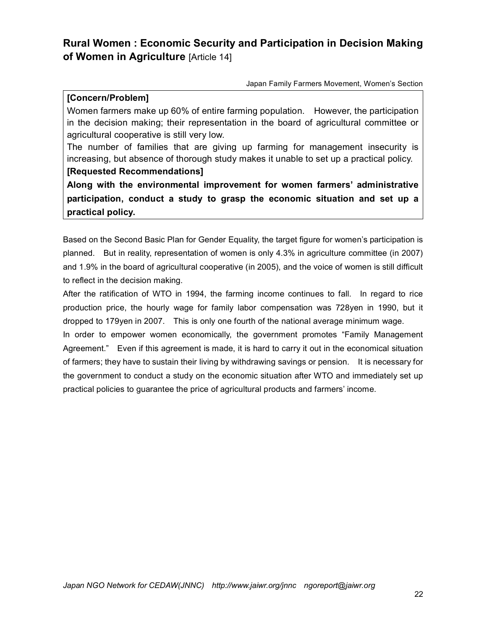# **Rural Women : Economic Security and Participation in Decision Making of Women in Agriculture** [Article 14]

Japan Family Farmers Movement, Women's Section

### **[Concern/Problem]**

Women farmers make up 60% of entire farming population. However, the participation in the decision making; their representation in the board of agricultural committee or agricultural cooperative is still very low.

The number of families that are giving up farming for management insecurity is increasing, but absence of thorough study makes it unable to set up a practical policy.

### **[Requested Recommendations]**

**Along with the environmental improvement for women farmers' administrative participation, conduct a study to grasp the economic situation and set up a practical policy.** 

Based on the Second Basic Plan for Gender Equality, the target figure for women's participation is planned. But in reality, representation of women is only 4.3% in agriculture committee (in 2007) and 1.9% in the board of agricultural cooperative (in 2005), and the voice of women is still difficult to reflect in the decision making.

After the ratification of WTO in 1994, the farming income continues to fall. In regard to rice production price, the hourly wage for family labor compensation was 728yen in 1990, but it dropped to 179yen in 2007. This is only one fourth of the national average minimum wage.

In order to empower women economically, the government promotes "Family Management Agreement." Even if this agreement is made, it is hard to carry it out in the economical situation of farmers; they have to sustain their living by withdrawing savings or pension. It is necessary for the government to conduct a study on the economic situation after WTO and immediately set up practical policies to guarantee the price of agricultural products and farmers' income.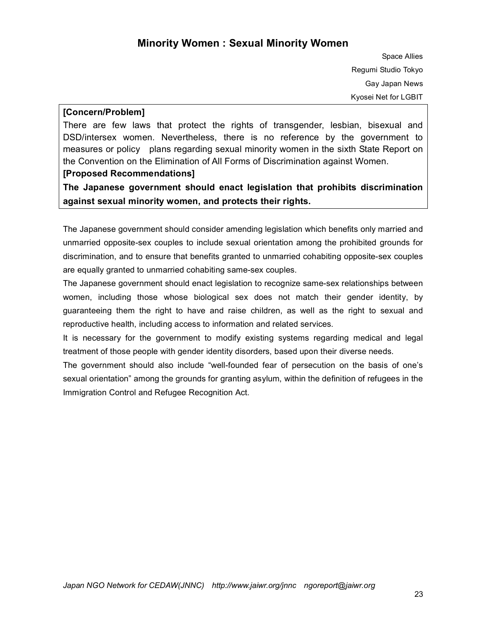## **Minority Women : Sexual Minority Women**

Space Allies Regumi Studio Tokyo Gay Japan News Kyosei Net for LGBIT

### **[Concern/Problem]**

There are few laws that protect the rights of transgender, lesbian, bisexual and DSD/intersex women. Nevertheless, there is no reference by the government to measures or policy plans regarding sexual minority women in the sixth State Report on the Convention on the Elimination of All Forms of Discrimination against Women.

### **[Proposed Recommendations]**

**The Japanese government should enact legislation that prohibits discrimination against sexual minority women, and protects their rights.**

The Japanese government should consider amending legislation which benefits only married and unmarried opposite-sex couples to include sexual orientation among the prohibited grounds for discrimination, and to ensure that benefits granted to unmarried cohabiting opposite-sex couples are equally granted to unmarried cohabiting same-sex couples.

The Japanese government should enact legislation to recognize same-sex relationships between women, including those whose biological sex does not match their gender identity, by guaranteeing them the right to have and raise children, as well as the right to sexual and reproductive health, including access to information and related services.

It is necessary for the government to modify existing systems regarding medical and legal treatment of those people with gender identity disorders, based upon their diverse needs.

The government should also include "well-founded fear of persecution on the basis of one's sexual orientation" among the grounds for granting asylum, within the definition of refugees in the Immigration Control and Refugee Recognition Act.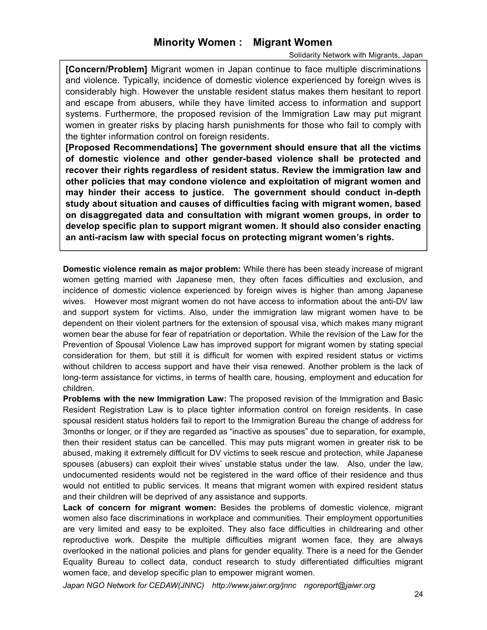## **Minority Women : Migrant Women**

#### Solidarity Network with Migrants, Japan

**[Concern/Problem]** Migrant women in Japan continue to face multiple discriminations and violence. Typically, incidence of domestic violence experienced by foreign wives is considerably high. However the unstable resident status makes them hesitant to report and escape from abusers, while they have limited access to information and support systems. Furthermore, the proposed revision of the Immigration Law may put migrant women in greater risks by placing harsh punishments for those who fail to comply with the tighter information control on foreign residents.

**[Proposed Recommendations] The government should ensure that all the victims of domestic violence and other gender-based violence shall be protected and recover their rights regardless of resident status. Review the immigration law and other policies that may condone violence and exploitation of migrant women and may hinder their access to justice. The government should conduct in-depth study about situation and causes of difficulties facing with migrant women, based on disaggregated data and consultation with migrant women groups, in order to develop specific plan to support migrant women. It should also consider enacting an anti-racism law with special focus on protecting migrant women's rights.** 

**Domestic violence remain as major problem:** While there has been steady increase of migrant women getting married with Japanese men, they often faces difficulties and exclusion, and incidence of domestic violence experienced by foreign wives is higher than among Japanese wives. However most migrant women do not have access to information about the anti-DV law and support system for victims. Also, under the immigration law migrant women have to be dependent on their violent partners for the extension of spousal visa, which makes many migrant women bear the abuse for fear of repatriation or deportation. While the revision of the Law for the Prevention of Spousal Violence Law has improved support for migrant women by stating special consideration for them, but still it is difficult for women with expired resident status or victims without children to access support and have their visa renewed. Another problem is the lack of long-term assistance for victims, in terms of health care, housing, employment and education for children.

**Problems with the new Immigration Law:** The proposed revision of the Immigration and Basic Resident Registration Law is to place tighter information control on foreign residents. In case spousal resident status holders fail to report to the Immigration Bureau the change of address for 3months or longer, or if they are regarded as "inactive as spouses" due to separation, for example, then their resident status can be cancelled. This may puts migrant women in greater risk to be abused, making it extremely difficult for DV victims to seek rescue and protection, while Japanese spouses (abusers) can exploit their wives' unstable status under the law. Also, under the law, undocumented residents would not be registered in the ward office of their residence and thus would not entitled to public services. It means that migrant women with expired resident status and their children will be deprived of any assistance and supports.

**Lack of concern for migrant women:** Besides the problems of domestic violence, migrant women also face discriminations in workplace and communities. Their employment opportunities are very limited and easy to be exploited. They also face difficulties in childrearing and other reproductive work. Despite the multiple difficulties migrant women face, they are always overlooked in the national policies and plans for gender equality. There is a need for the Gender Equality Bureau to collect data, conduct research to study differentiated difficulties migrant women face, and develop specific plan to empower migrant women.

*Japan NGO Network for CEDAW(JNNC) http://www.jaiwr.org/jnnc ngoreport@jaiwr.org*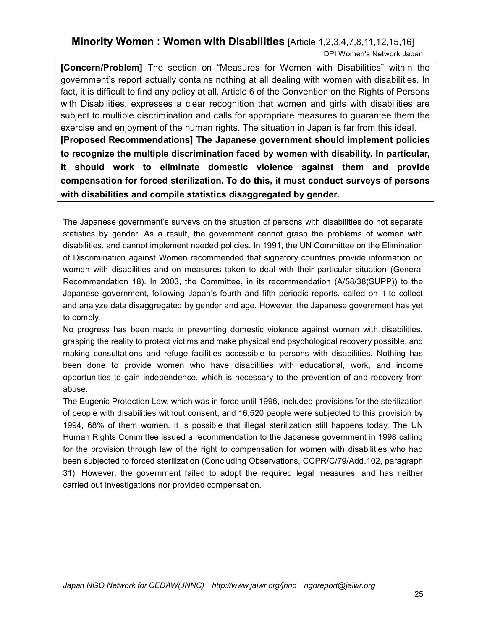### **Minority Women : Women with Disabilities** [Article 1,2,3,4,7,8,11,12,15,16] DPI Women's Network Japan

**[Concern/Problem]** The section on "Measures for Women with Disabilities" within the government's report actually contains nothing at all dealing with women with disabilities. In fact, it is difficult to find any policy at all. Article 6 of the Convention on the Rights of Persons with Disabilities, expresses a clear recognition that women and girls with disabilities are subject to multiple discrimination and calls for appropriate measures to guarantee them the exercise and enjoyment of the human rights. The situation in Japan is far from this ideal. **[Proposed Recommendations] The Japanese government should implement policies to recognize the multiple discrimination faced by women with disability. In particular, it should work to eliminate domestic violence against them and provide compensation for forced sterilization. To do this, it must conduct surveys of persons** 

**with disabilities and compile statistics disaggregated by gender.**

The Japanese government's surveys on the situation of persons with disabilities do not separate statistics by gender. As a result, the government cannot grasp the problems of women with disabilities, and cannot implement needed policies. In 1991, the UN Committee on the Elimination of Discrimination against Women recommended that signatory countries provide information on women with disabilities and on measures taken to deal with their particular situation (General Recommendation 18). In 2003, the Committee, in its recommendation (A/58/38(SUPP)) to the Japanese government, following Japan's fourth and fifth periodic reports, called on it to collect and analyze data disaggregated by gender and age. However, the Japanese government has yet to comply.

No progress has been made in preventing domestic violence against women with disabilities, grasping the reality to protect victims and make physical and psychological recovery possible, and making consultations and refuge facilities accessible to persons with disabilities. Nothing has been done to provide women who have disabilities with educational, work, and income opportunities to gain independence, which is necessary to the prevention of and recovery from abuse.

The Eugenic Protection Law, which was in force until 1996, included provisions for the sterilization of people with disabilities without consent, and 16,520 people were subjected to this provision by 1994, 68% of them women. It is possible that illegal sterilization still happens today. The UN Human Rights Committee issued a recommendation to the Japanese government in 1998 calling for the provision through law of the right to compensation for women with disabilities who had been subjected to forced sterilization (Concluding Observations, CCPR/C/79/Add.102, paragraph 31). However, the government failed to adopt the required legal measures, and has neither carried out investigations nor provided compensation.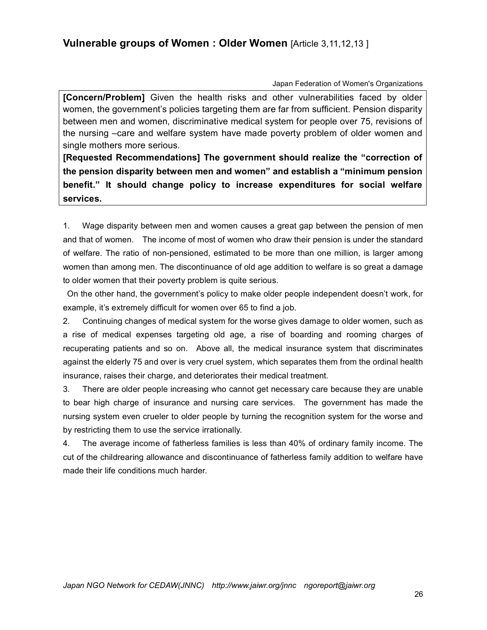Japan Federation of Women's Organizations

**[Concern/Problem]** Given the health risks and other vulnerabilities faced by older women, the government's policies targeting them are far from sufficient. Pension disparity between men and women, discriminative medical system for people over 75, revisions of the nursing –care and welfare system have made poverty problem of older women and single mothers more serious.

**[Requested Recommendations] The government should realize the "correction of the pension disparity between men and women" and establish a "minimum pension benefit." It should change policy to increase expenditures for social welfare services.** 

1. Wage disparity between men and women causes a great gap between the pension of men and that of women. The income of most of women who draw their pension is under the standard of welfare. The ratio of non-pensioned, estimated to be more than one million, is larger among women than among men. The discontinuance of old age addition to welfare is so great a damage to older women that their poverty problem is quite serious.

On the other hand, the government's policy to make older people independent doesn't work, for example, it's extremely difficult for women over 65 to find a job.

2. Continuing changes of medical system for the worse gives damage to older women, such as a rise of medical expenses targeting old age, a rise of boarding and rooming charges of recuperating patients and so on. Above all, the medical insurance system that discriminates against the elderly 75 and over is very cruel system, which separates them from the ordinal health insurance, raises their charge, and deteriorates their medical treatment.

3. There are older people increasing who cannot get necessary care because they are unable to bear high charge of insurance and nursing care services. The government has made the nursing system even crueler to older people by turning the recognition system for the worse and by restricting them to use the service irrationally.

4. The average income of fatherless families is less than 40% of ordinary family income. The cut of the childrearing allowance and discontinuance of fatherless family addition to welfare have made their life conditions much harder.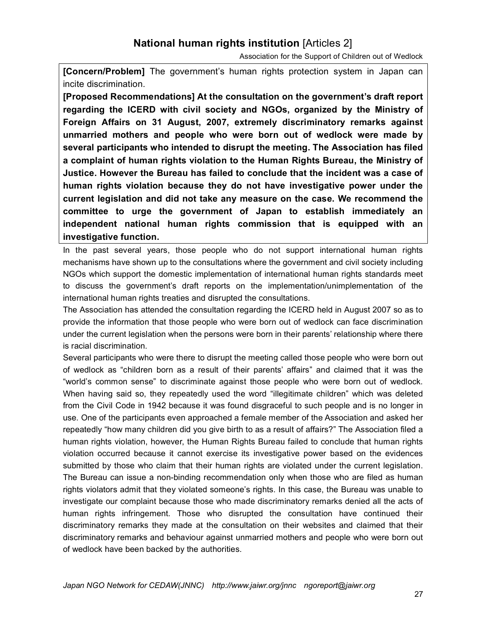# **National human rights institution** [Articles 2]

Association for the Support of Children out of Wedlock

**[Concern/Problem]** The government's human rights protection system in Japan can incite discrimination.

**[Proposed Recommendations] At the consultation on the government's draft report regarding the ICERD with civil society and NGOs, organized by the Ministry of Foreign Affairs on 31 August, 2007, extremely discriminatory remarks against unmarried mothers and people who were born out of wedlock were made by several participants who intended to disrupt the meeting. The Association has filed a complaint of human rights violation to the Human Rights Bureau, the Ministry of Justice. However the Bureau has failed to conclude that the incident was a case of human rights violation because they do not have investigative power under the current legislation and did not take any measure on the case. We recommend the committee to urge the government of Japan to establish immediately an independent national human rights commission that is equipped with an investigative function.**

In the past several years, those people who do not support international human rights mechanisms have shown up to the consultations where the government and civil society including NGOs which support the domestic implementation of international human rights standards meet to discuss the government's draft reports on the implementation/unimplementation of the international human rights treaties and disrupted the consultations.

The Association has attended the consultation regarding the ICERD held in August 2007 so as to provide the information that those people who were born out of wedlock can face discrimination under the current legislation when the persons were born in their parents' relationship where there is racial discrimination.

Several participants who were there to disrupt the meeting called those people who were born out of wedlock as "children born as a result of their parents' affairs" and claimed that it was the "world's common sense" to discriminate against those people who were born out of wedlock. When having said so, they repeatedly used the word "illegitimate children" which was deleted from the Civil Code in 1942 because it was found disgraceful to such people and is no longer in use. One of the participants even approached a female member of the Association and asked her repeatedly "how many children did you give birth to as a result of affairs?" The Association filed a human rights violation, however, the Human Rights Bureau failed to conclude that human rights violation occurred because it cannot exercise its investigative power based on the evidences submitted by those who claim that their human rights are violated under the current legislation. The Bureau can issue a non-binding recommendation only when those who are filed as human rights violators admit that they violated someone's rights. In this case, the Bureau was unable to investigate our complaint because those who made discriminatory remarks denied all the acts of human rights infringement. Those who disrupted the consultation have continued their discriminatory remarks they made at the consultation on their websites and claimed that their discriminatory remarks and behaviour against unmarried mothers and people who were born out of wedlock have been backed by the authorities.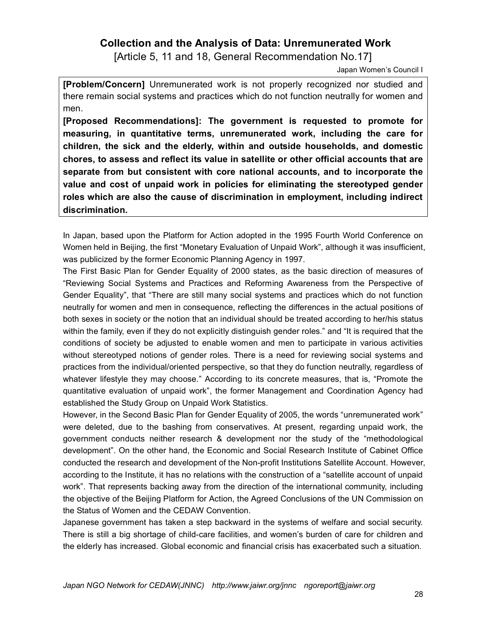## **Collection and the Analysis of Data: Unremunerated Work**

[Article 5, 11 and 18, General Recommendation No.17]

Japan Women's Council I

**[Problem/Concern]** Unremunerated work is not properly recognized nor studied and there remain social systems and practices which do not function neutrally for women and men.

**[Proposed Recommendations]: The government is requested to promote for measuring, in quantitative terms, unremunerated work, including the care for children, the sick and the elderly, within and outside households, and domestic chores, to assess and reflect its value in satellite or other official accounts that are separate from but consistent with core national accounts, and to incorporate the value and cost of unpaid work in policies for eliminating the stereotyped gender roles which are also the cause of discrimination in employment, including indirect discrimination.**

In Japan, based upon the Platform for Action adopted in the 1995 Fourth World Conference on Women held in Beijing, the first "Monetary Evaluation of Unpaid Work", although it was insufficient, was publicized by the former Economic Planning Agency in 1997.

The First Basic Plan for Gender Equality of 2000 states, as the basic direction of measures of "Reviewing Social Systems and Practices and Reforming Awareness from the Perspective of Gender Equality", that "There are still many social systems and practices which do not function neutrally for women and men in consequence, reflecting the differences in the actual positions of both sexes in society or the notion that an individual should be treated according to her/his status within the family, even if they do not explicitly distinguish gender roles." and "It is required that the conditions of society be adjusted to enable women and men to participate in various activities without stereotyped notions of gender roles. There is a need for reviewing social systems and practices from the individual/oriented perspective, so that they do function neutrally, regardless of whatever lifestyle they may choose." According to its concrete measures, that is, "Promote the quantitative evaluation of unpaid work", the former Management and Coordination Agency had established the Study Group on Unpaid Work Statistics.

However, in the Second Basic Plan for Gender Equality of 2005, the words "unremunerated work" were deleted, due to the bashing from conservatives. At present, regarding unpaid work, the government conducts neither research & development nor the study of the "methodological development". On the other hand, the Economic and Social Research Institute of Cabinet Office conducted the research and development of the Non-profit Institutions Satellite Account. However, according to the Institute, it has no relations with the construction of a "satellite account of unpaid work". That represents backing away from the direction of the international community, including the objective of the Beijing Platform for Action, the Agreed Conclusions of the UN Commission on the Status of Women and the CEDAW Convention.

Japanese government has taken a step backward in the systems of welfare and social security. There is still a big shortage of child-care facilities, and women's burden of care for children and the elderly has increased. Global economic and financial crisis has exacerbated such a situation.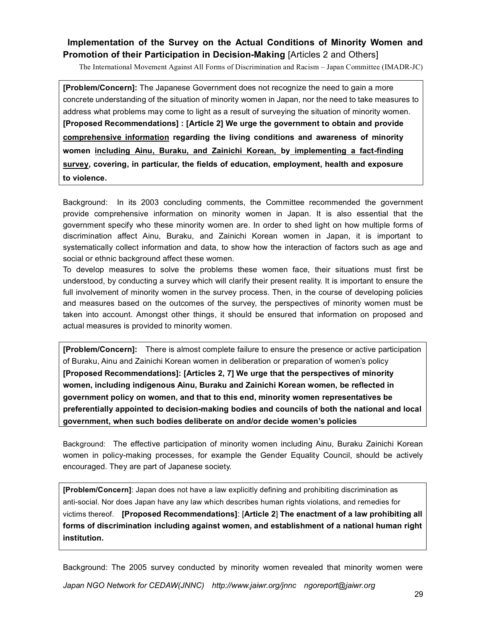### **Implementation of the Survey on the Actual Conditions of Minority Women and Promotion of their Participation in Decision-Making [Articles 2 and Others]**

The International Movement Against All Forms of Discrimination and Racism – Japan Committee (IMADR-JC)

**[Problem/Concern]:** The Japanese Government does not recognize the need to gain a more concrete understanding of the situation of minority women in Japan, nor the need to take measures to address what problems may come to light as a result of surveying the situation of minority women. **[Proposed Recommendations] : [Article 2] We urge the government to obtain and provide comprehensive information regarding the living conditions and awareness of minority women including Ainu, Buraku, and Zainichi Korean, by implementing a fact-finding survey, covering, in particular, the fields of education, employment, health and exposure to violence.** 

Background: In its 2003 concluding comments, the Committee recommended the government provide comprehensive information on minority women in Japan. It is also essential that the government specify who these minority women are. In order to shed light on how multiple forms of discrimination affect Ainu, Buraku, and Zainichi Korean women in Japan, it is important to systematically collect information and data, to show how the interaction of factors such as age and social or ethnic background affect these women.

To develop measures to solve the problems these women face, their situations must first be understood, by conducting a survey which will clarify their present reality. It is important to ensure the full involvement of minority women in the survey process. Then, in the course of developing policies and measures based on the outcomes of the survey, the perspectives of minority women must be taken into account. Amongst other things, it should be ensured that information on proposed and actual measures is provided to minority women.

**[Problem/Concern]:** There is almost complete failure to ensure the presence or active participation of Buraku, Ainu and Zainichi Korean women in deliberation or preparation of women's policy **[Proposed Recommendations]: [Articles 2, 7] We urge that the perspectives of minority women, including indigenous Ainu, Buraku and Zainichi Korean women, be reflected in government policy on women, and that to this end, minority women representatives be preferentially appointed to decision-making bodies and councils of both the national and local government, when such bodies deliberate on and/or decide women's policies**

Background: The effective participation of minority women including Ainu, Buraku Zainichi Korean women in policy-making processes, for example the Gender Equality Council, should be actively encouraged. They are part of Japanese society.

**[Problem/Concern]**: Japan does not have a law explicitly defining and prohibiting discrimination as anti-social. Nor does Japan have any law which describes human rights violations, and remedies for victims thereof. **[Proposed Recommendations]**: [**Article 2**] **The enactment of a law prohibiting all forms of discrimination including against women, and establishment of a national human right institution.** 

*Japan NGO Network for CEDAW(JNNC) http://www.jaiwr.org/jnnc ngoreport@jaiwr.org* Background: The 2005 survey conducted by minority women revealed that minority women were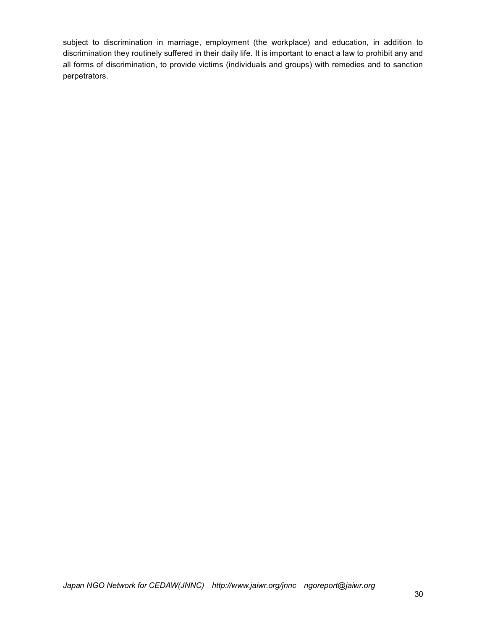subject to discrimination in marriage, employment (the workplace) and education, in addition to discrimination they routinely suffered in their daily life. It is important to enact a law to prohibit any and all forms of discrimination, to provide victims (individuals and groups) with remedies and to sanction perpetrators.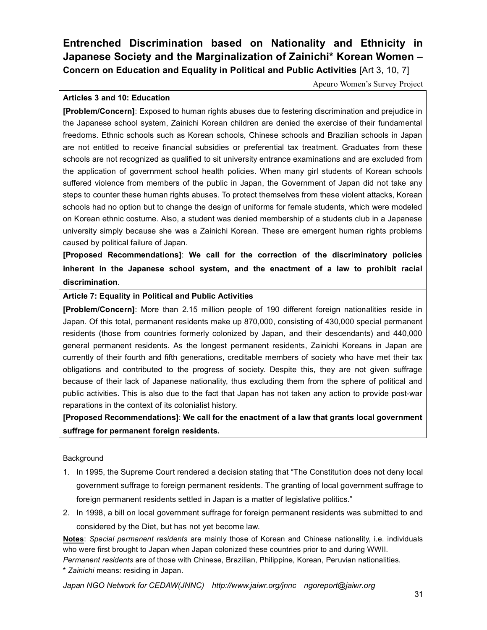# **Entrenched Discrimination based on Nationality and Ethnicity in Japanese Society and the Marginalization of Zainichi\* Korean Women – Concern on Education and Equality in Political and Public Activities** [Art 3, 10, 7]

Apeuro Women's Survey Project

### **Articles 3 and 10: Education**

**[Problem/Concern]**: Exposed to human rights abuses due to festering discrimination and prejudice in the Japanese school system, Zainichi Korean children are denied the exercise of their fundamental freedoms. Ethnic schools such as Korean schools, Chinese schools and Brazilian schools in Japan are not entitled to receive financial subsidies or preferential tax treatment. Graduates from these schools are not recognized as qualified to sit university entrance examinations and are excluded from the application of government school health policies. When many girl students of Korean schools suffered violence from members of the public in Japan, the Government of Japan did not take any steps to counter these human rights abuses. To protect themselves from these violent attacks, Korean schools had no option but to change the design of uniforms for female students, which were modeled on Korean ethnic costume. Also, a student was denied membership of a students club in a Japanese university simply because she was a Zainichi Korean. These are emergent human rights problems caused by political failure of Japan.

**[Proposed Recommendations]**: **We call for the correction of the discriminatory policies inherent in the Japanese school system, and the enactment of a law to prohibit racial discrimination**.

**Article 7: Equality in Political and Public Activities**

**[Problem/Concern]**: More than 2.15 million people of 190 different foreign nationalities reside in Japan. Of this total, permanent residents make up 870,000, consisting of 430,000 special permanent residents (those from countries formerly colonized by Japan, and their descendants) and 440,000 general permanent residents. As the longest permanent residents, Zainichi Koreans in Japan are currently of their fourth and fifth generations, creditable members of society who have met their tax obligations and contributed to the progress of society. Despite this, they are not given suffrage because of their lack of Japanese nationality, thus excluding them from the sphere of political and public activities. This is also due to the fact that Japan has not taken any action to provide post-war reparations in the context of its colonialist history.

**[Proposed Recommendations]**: **We call for the enactment of a law that grants local government suffrage for permanent foreign residents.**

### Background

- 1. In 1995, the Supreme Court rendered a decision stating that "The Constitution does not deny local government suffrage to foreign permanent residents. The granting of local government suffrage to foreign permanent residents settled in Japan is a matter of legislative politics."
- 2. In 1998, a bill on local government suffrage for foreign permanent residents was submitted to and considered by the Diet, but has not yet become law.

**Notes**: *Special permanent residents* are mainly those of Korean and Chinese nationality, i.e. individuals who were first brought to Japan when Japan colonized these countries prior to and during WWII.

*Permanent residents* are of those with Chinese, Brazilian, Philippine, Korean, Peruvian nationalities.

\* *Zainichi* means: residing in Japan.

*Japan NGO Network for CEDAW(JNNC) http://www.jaiwr.org/jnnc ngoreport@jaiwr.org*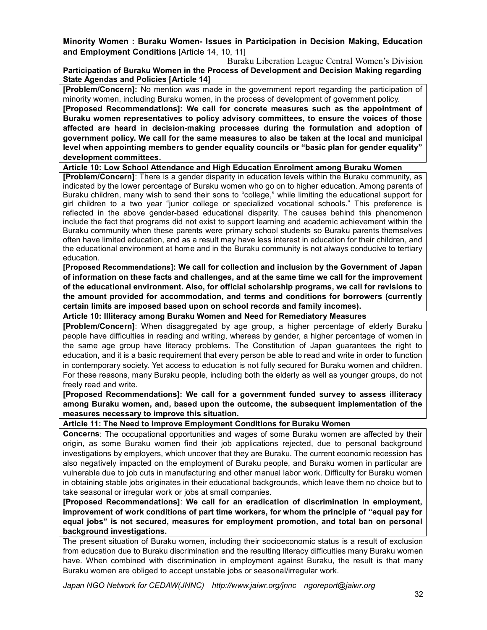### **Minority Women : Buraku Women- Issues in Participation in Decision Making, Education and Employment Conditions** [Article 14, 10, 11]

Buraku Liberation League Central Women's Division **Participation of Buraku Women in the Process of Development and Decision Making regarding State Agendas and Policies [Article 14]**

**[Problem/Concern]:** No mention was made in the government report regarding the participation of minority women, including Buraku women, in the process of development of government policy.

**[Proposed Recommendations]: We call for concrete measures such as the appointment of Buraku women representatives to policy advisory committees, to ensure the voices of those affected are heard in decision-making processes during the formulation and adoption of government policy. We call for the same measures to also be taken at the local and municipal level when appointing members to gender equality councils or "basic plan for gender equality" development committees.** 

#### **Article 10: Low School Attendance and High Education Enrolment among Buraku Women**

**[Problem/Concern]**: There is a gender disparity in education levels within the Buraku community, as indicated by the lower percentage of Buraku women who go on to higher education. Among parents of Buraku children, many wish to send their sons to "college," while limiting the educational support for girl children to a two year "junior college or specialized vocational schools." This preference is reflected in the above gender-based educational disparity. The causes behind this phenomenon include the fact that programs did not exist to support learning and academic achievement within the Buraku community when these parents were primary school students so Buraku parents themselves often have limited education, and as a result may have less interest in education for their children, and the educational environment at home and in the Buraku community is not always conducive to tertiary education.

**[Proposed Recommendations]: We call for collection and inclusion by the Government of Japan of information on these facts and challenges, and at the same time we call for the improvement of the educational environment. Also, for official scholarship programs, we call for revisions to the amount provided for accommodation, and terms and conditions for borrowers (currently certain limits are imposed based upon on school records and family incomes).**

**Article 10: Illiteracy among Buraku Women and Need for Remediatory Measures** 

**[Problem/Concern]**: When disaggregated by age group, a higher percentage of elderly Buraku people have difficulties in reading and writing, whereas by gender, a higher percentage of women in the same age group have literacy problems. The Constitution of Japan guarantees the right to education, and it is a basic requirement that every person be able to read and write in order to function in contemporary society. Yet access to education is not fully secured for Buraku women and children. For these reasons, many Buraku people, including both the elderly as well as younger groups, do not freely read and write.

**[Proposed Recommendations]: We call for a government funded survey to assess illiteracy among Buraku women, and, based upon the outcome, the subsequent implementation of the measures necessary to improve this situation.** 

**Article 11: The Need to Improve Employment Conditions for Buraku Women**

**Concerns**: The occupational opportunities and wages of some Buraku women are affected by their origin, as some Buraku women find their job applications rejected, due to personal background investigations by employers, which uncover that they are Buraku. The current economic recession has also negatively impacted on the employment of Buraku people, and Buraku women in particular are vulnerable due to job cuts in manufacturing and other manual labor work. Difficulty for Buraku women in obtaining stable jobs originates in their educational backgrounds, which leave them no choice but to take seasonal or irregular work or jobs at small companies.

**[Proposed Recommendations]**: **We call for an eradication of discrimination in employment, improvement of work conditions of part time workers, for whom the principle of "equal pay for equal jobs" is not secured, measures for employment promotion, and total ban on personal background investigations.** 

The present situation of Buraku women, including their socioeconomic status is a result of exclusion from education due to Buraku discrimination and the resulting literacy difficulties many Buraku women have. When combined with discrimination in employment against Buraku, the result is that many Buraku women are obliged to accept unstable jobs or seasonal/irregular work.

*Japan NGO Network for CEDAW(JNNC) http://www.jaiwr.org/jnnc ngoreport@jaiwr.org*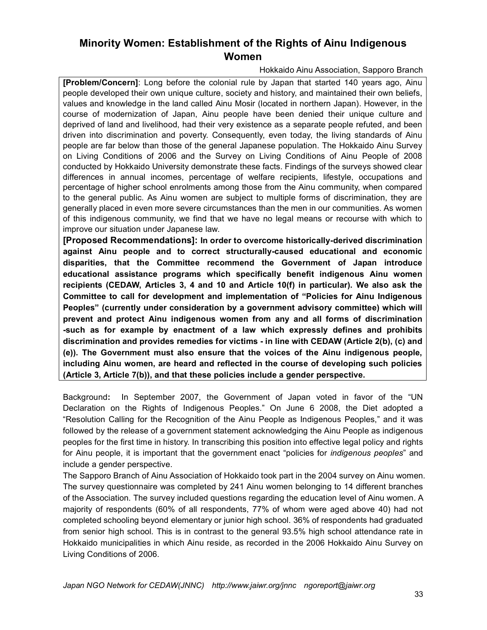# **Minority Women: Establishment of the Rights of Ainu Indigenous Women**

Hokkaido Ainu Association, Sapporo Branch

**[Problem/Concern]**: Long before the colonial rule by Japan that started 140 years ago, Ainu people developed their own unique culture, society and history, and maintained their own beliefs, values and knowledge in the land called Ainu Mosir (located in northern Japan). However, in the course of modernization of Japan, Ainu people have been denied their unique culture and deprived of land and livelihood, had their very existence as a separate people refuted, and been driven into discrimination and poverty. Consequently, even today, the living standards of Ainu people are far below than those of the general Japanese population. The Hokkaido Ainu Survey on Living Conditions of 2006 and the Survey on Living Conditions of Ainu People of 2008 conducted by Hokkaido University demonstrate these facts. Findings of the surveys showed clear differences in annual incomes, percentage of welfare recipients, lifestyle, occupations and percentage of higher school enrolments among those from the Ainu community, when compared to the general public. As Ainu women are subject to multiple forms of discrimination, they are generally placed in even more severe circumstances than the men in our communities. As women of this indigenous community, we find that we have no legal means or recourse with which to improve our situation under Japanese law.

**[Proposed Recommendations]: In order to overcome historically-derived discrimination against Ainu people and to correct structurally-caused educational and economic disparities, that the Committee recommend the Government of Japan introduce educational assistance programs which specifically benefit indigenous Ainu women recipients (CEDAW, Articles 3, 4 and 10 and Article 10(f) in particular). We also ask the Committee to call for development and implementation of "Policies for Ainu Indigenous Peoples" (currently under consideration by a government advisory committee) which will prevent and protect Ainu indigenous women from any and all forms of discrimination -such as for example by enactment of a law which expressly defines and prohibits discrimination and provides remedies for victims - in line with CEDAW (Article 2(b), (c) and (e)). The Government must also ensure that the voices of the Ainu indigenous people, including Ainu women, are heard and reflected in the course of developing such policies (Article 3, Article 7(b)), and that these policies include a gender perspective.**

Background**:** In September 2007, the Government of Japan voted in favor of the "UN Declaration on the Rights of Indigenous Peoples." On June 6 2008, the Diet adopted a "Resolution Calling for the Recognition of the Ainu People as Indigenous Peoples," and it was followed by the release of a government statement acknowledging the Ainu People as indigenous peoples for the first time in history. In transcribing this position into effective legal policy and rights for Ainu people, it is important that the government enact "policies for *indigenous peoples*" and include a gender perspective.

The Sapporo Branch of Ainu Association of Hokkaido took part in the 2004 survey on Ainu women. The survey questionnaire was completed by 241 Ainu women belonging to 14 different branches of the Association. The survey included questions regarding the education level of Ainu women. A majority of respondents (60% of all respondents, 77% of whom were aged above 40) had not completed schooling beyond elementary or junior high school. 36% of respondents had graduated from senior high school. This is in contrast to the general 93.5% high school attendance rate in Hokkaido municipalities in which Ainu reside, as recorded in the 2006 Hokkaido Ainu Survey on Living Conditions of 2006.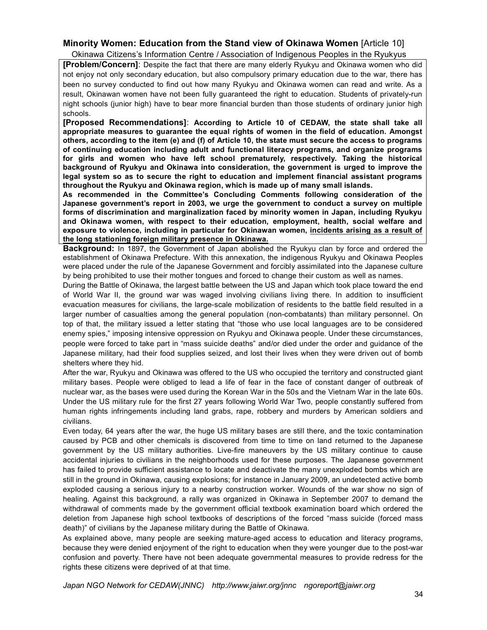### **Minority Women: Education from the Stand view of Okinawa Women** [Article 10]

Okinawa Citizens's Information Centre / Association of Indigenous Peoples in the Ryukyus

**[Problem/Concern]**: Despite the fact that there are many elderly Ryukyu and Okinawa women who did not enjoy not only secondary education, but also compulsory primary education due to the war, there has been no survey conducted to find out how many Ryukyu and Okinawa women can read and write. As a result, Okinawan women have not been fully guaranteed the right to education. Students of privately-run night schools (junior high) have to bear more financial burden than those students of ordinary junior high schools.

**[Proposed Recommendations]**: **According to Article 10 of CEDAW, the state shall take all appropriate measures to guarantee the equal rights of women in the field of education. Amongst others, according to the item (e) and (f) of Article 10, the state must secure the access to programs of continuing education including adult and functional literacy programs, and organize programs for girls and women who have left school prematurely, respectively. Taking the historical background of Ryukyu and Okinawa into consideration, the government is urged to improve the legal system so as to secure the right to education and implement financial assistant programs throughout the Ryukyu and Okinawa region, which is made up of many small islands.** 

**As recommended in the Committee's Concluding Comments following consideration of the Japanese government's report in 2003, we urge the government to conduct a survey on multiple forms of discrimination and marginalization faced by minority women in Japan, including Ryukyu and Okinawa women, with respect to their education, employment, health, social welfare and exposure to violence, including in particular for Okinawan women, incidents arising as a result of the long stationing foreign military presence in Okinawa.**

**Background:** In 1897, the Government of Japan abolished the Ryukyu clan by force and ordered the establishment of Okinawa Prefecture. With this annexation, the indigenous Ryukyu and Okinawa Peoples were placed under the rule of the Japanese Government and forcibly assimilated into the Japanese culture by being prohibited to use their mother tongues and forced to change their custom as well as names.

During the Battle of Okinawa, the largest battle between the US and Japan which took place toward the end of World War II, the ground war was waged involving civilians living there. In addition to insufficient evacuation measures for civilians, the large-scale mobilization of residents to the battle field resulted in a larger number of casualties among the general population (non-combatants) than military personnel. On top of that, the military issued a letter stating that "those who use local languages are to be considered enemy spies," imposing intensive oppression on Ryukyu and Okinawa people. Under these circumstances, people were forced to take part in "mass suicide deaths" and/or died under the order and guidance of the Japanese military, had their food supplies seized, and lost their lives when they were driven out of bomb shelters where they hid.

After the war, Ryukyu and Okinawa was offered to the US who occupied the territory and constructed giant military bases. People were obliged to lead a life of fear in the face of constant danger of outbreak of nuclear war, as the bases were used during the Korean War in the 50s and the Vietnam War in the late 60s. Under the US military rule for the first 27 years following World War Two, people constantly suffered from human rights infringements including land grabs, rape, robbery and murders by American soldiers and civilians.

Even today, 64 years after the war, the huge US military bases are still there, and the toxic contamination caused by PCB and other chemicals is discovered from time to time on land returned to the Japanese government by the US military authorities. Live-fire maneuvers by the US military continue to cause accidental injuries to civilians in the neighborhoods used for these purposes. The Japanese government has failed to provide sufficient assistance to locate and deactivate the many unexploded bombs which are still in the ground in Okinawa, causing explosions; for instance in January 2009, an undetected active bomb exploded causing a serious injury to a nearby construction worker. Wounds of the war show no sign of healing. Against this background, a rally was organized in Okinawa in September 2007 to demand the withdrawal of comments made by the government official textbook examination board which ordered the deletion from Japanese high school textbooks of descriptions of the forced "mass suicide (forced mass death)" of civilians by the Japanese military during the Battle of Okinawa.

As explained above, many people are seeking mature-aged access to education and literacy programs, because they were denied enjoyment of the right to education when they were younger due to the post-war confusion and poverty. There have not been adequate governmental measures to provide redress for the rights these citizens were deprived of at that time.

*Japan NGO Network for CEDAW(JNNC) http://www.jaiwr.org/jnnc ngoreport@jaiwr.org*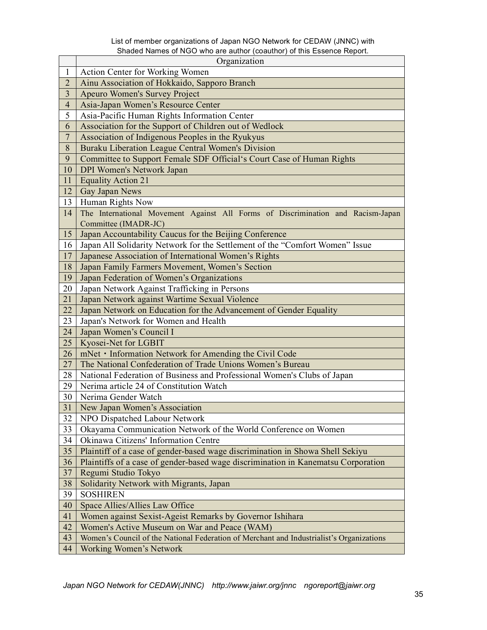#### List of member organizations of Japan NGO Network for CEDAW (JNNC) with Shaded Names of NGO who are author (coauthor) of this Essence Report.

|                         | Organization                                                                                           |  |  |
|-------------------------|--------------------------------------------------------------------------------------------------------|--|--|
| $\mathbf{1}$            | Action Center for Working Women                                                                        |  |  |
| $\overline{2}$          | Ainu Association of Hokkaido, Sapporo Branch                                                           |  |  |
| $\overline{\mathbf{3}}$ | Apeuro Women's Survey Project                                                                          |  |  |
| $\overline{4}$          | Asia-Japan Women's Resource Center                                                                     |  |  |
| 5                       | Asia-Pacific Human Rights Information Center                                                           |  |  |
| 6                       | Association for the Support of Children out of Wedlock                                                 |  |  |
| $\sqrt{ }$              | Association of Indigenous Peoples in the Ryukyus                                                       |  |  |
| 8                       | Buraku Liberation League Central Women's Division                                                      |  |  |
| 9                       | Committee to Support Female SDF Official's Court Case of Human Rights                                  |  |  |
| 10                      | <b>DPI Women's Network Japan</b>                                                                       |  |  |
| 11                      | <b>Equality Action 21</b>                                                                              |  |  |
| 12                      | Gay Japan News                                                                                         |  |  |
| 13                      | Human Rights Now                                                                                       |  |  |
| 14                      | The International Movement Against All Forms of Discrimination and Racism-Japan                        |  |  |
|                         | Committee (IMADR-JC)                                                                                   |  |  |
| 15                      | Japan Accountability Caucus for the Beijing Conference                                                 |  |  |
| 16                      | Japan All Solidarity Network for the Settlement of the "Comfort Women" Issue                           |  |  |
| 17                      | Japanese Association of International Women's Rights                                                   |  |  |
| 18                      | Japan Family Farmers Movement, Women's Section                                                         |  |  |
| 19                      | Japan Federation of Women's Organizations                                                              |  |  |
| 20                      | Japan Network Against Trafficking in Persons                                                           |  |  |
| 21                      | Japan Network against Wartime Sexual Violence                                                          |  |  |
| 22                      | Japan Network on Education for the Advancement of Gender Equality                                      |  |  |
| 23                      | Japan's Network for Women and Health                                                                   |  |  |
| 24                      | Japan Women's Council I                                                                                |  |  |
| 25                      | Kyosei-Net for LGBIT                                                                                   |  |  |
| 26                      | mNet · Information Network for Amending the Civil Code                                                 |  |  |
| 27                      | The National Confederation of Trade Unions Women's Bureau                                              |  |  |
| 28                      | National Federation of Business and Professional Women's Clubs of Japan                                |  |  |
| 29                      | Nerima article 24 of Constitution Watch                                                                |  |  |
| 30                      | Nerima Gender Watch                                                                                    |  |  |
| 31                      | New Japan Women's Association                                                                          |  |  |
| 32                      | NPO Dispatched Labour Network                                                                          |  |  |
| 33                      | Okayama Communication Network of the World Conference on Women<br>Okinawa Citizens' Information Centre |  |  |
| 34                      |                                                                                                        |  |  |
| 35                      | Plaintiff of a case of gender-based wage discrimination in Showa Shell Sekiyu                          |  |  |
| 36                      | Plaintiffs of a case of gender-based wage discrimination in Kanematsu Corporation                      |  |  |
| 37                      | Regumi Studio Tokyo                                                                                    |  |  |
| 38                      | Solidarity Network with Migrants, Japan                                                                |  |  |
| 39                      | <b>SOSHIREN</b>                                                                                        |  |  |
| 40                      | Space Allies/Allies Law Office                                                                         |  |  |
| 41                      | Women against Sexist-Ageist Remarks by Governor Ishihara                                               |  |  |
| 42                      | Women's Active Museum on War and Peace (WAM)                                                           |  |  |
| 43                      | Women's Council of the National Federation of Merchant and Industrialist's Organizations               |  |  |
| 44                      | <b>Working Women's Network</b>                                                                         |  |  |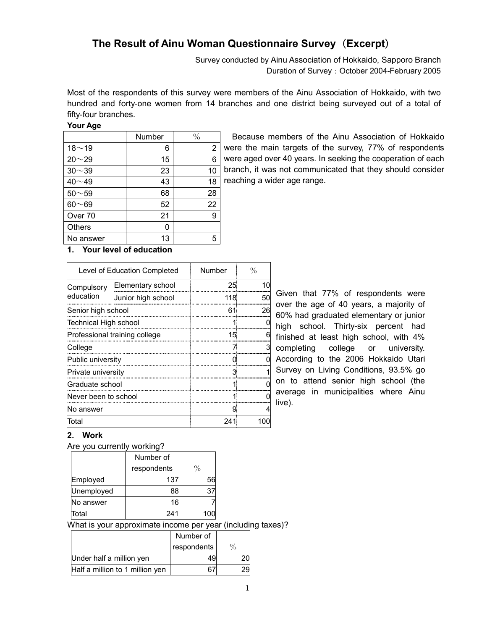# **The Result of Ainu Woman Questionnaire Survey**(**Excerpt**)

Survey conducted by Ainu Association of Hokkaido, Sapporo Branch Duration of Survey: October 2004-February 2005

Most of the respondents of this survey were members of the Ainu Association of Hokkaido, with two hundred and forty-one women from 14 branches and one district being surveyed out of a total of fifty-four branches.

#### **Your Age**

|                    | Number | $\frac{0}{0}$  |
|--------------------|--------|----------------|
| $18 - 19$          | 6      | $\overline{2}$ |
| $20 - 29$          | 15     | 6              |
| $30 - 39$          | 23     | 10             |
| $40 - 49$          | 43     | 18             |
| $50 - 59$          | 68     | 28             |
| $60 - 69$          | 52     | 22             |
| Over <sub>70</sub> | 21     | 9              |
| <b>Others</b>      | 0      |                |
| No answer          | 13     | 5              |

Because members of the Ainu Association of Hokkaido were the main targets of the survey, 77% of respondents were aged over 40 years. In seeking the cooperation of each branch, it was not communicated that they should consider reaching a wider age range.

### **1. Your level of education**

|                               | Level of Education Completed | Number | $\%$ |
|-------------------------------|------------------------------|--------|------|
| Compulsory                    | Elementary school            | 25     | 10   |
| education                     | Junior high school           | 118    | 50   |
| Senior high school            |                              | 61.    | 26   |
| Technical High school         |                              |        |      |
| Professional training college |                              | 15.    |      |
| College                       |                              |        |      |
| Public university             |                              | O      |      |
| Private university            |                              | 3      |      |
| Graduate school               |                              |        |      |
| Never been to school          |                              |        |      |
| No answer                     |                              | g      |      |
| Total                         |                              | 241    | 100  |

Given that 77% of respondents were over the age of 40 years, a majority of 60% had graduated elementary or junior high school. Thirty-six percent had finished at least high school, with 4% completing college or university. According to the 2006 Hokkaido Utari Survey on Living Conditions, 93.5% go on to attend senior high school (the average in municipalities where Ainu live).

### **2. Work**

|  | Are you currently working? |
|--|----------------------------|
|  |                            |

|            | Number of   |      |
|------------|-------------|------|
|            | respondents | $\%$ |
| Employed   | 137         | 56   |
| Unemployed | 88          | 37   |
| No answer  | 16          |      |
| Total      | 241         | 100  |

What is your approximate income per year (including taxes)?

|                                 | Number of   |               |
|---------------------------------|-------------|---------------|
|                                 | respondents | $\frac{0}{0}$ |
| Under half a million yen        | 49          |               |
| Half a million to 1 million yen |             |               |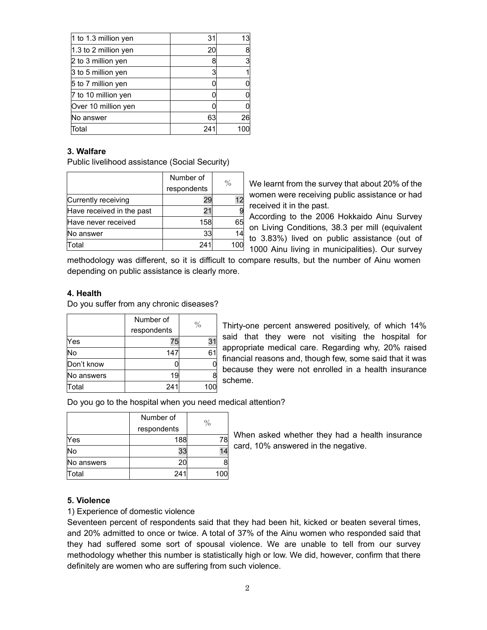| $ 1$ to 1.3 million yen | 31  | 13  |
|-------------------------|-----|-----|
| 1.3 to 2 million yen    | 20  | 8   |
| 2 to 3 million yen      |     | 3   |
| 3 to 5 million yen      |     | 1   |
| 5 to 7 million yen      |     | 0   |
| 7 to 10 million yen     |     | 0   |
| Over 10 million yen     |     | 0   |
| No answer               | 63  | 26  |
| Total                   | 241 | 100 |
|                         |     |     |

### **3. Walfare**

Public livelihood assistance (Social Security)

|                           | Number of   |    |
|---------------------------|-------------|----|
|                           | respondents | %  |
| Currently receiving       |             | 12 |
| Have received in the past | 21          |    |
| Have never received       | 158         | 65 |
| No answer                 | 33          | 14 |
| Total                     | 241         |    |

We learnt from the survey that about 20% of the women were receiving public assistance or had received it in the past.

According to the 2006 Hokkaido Ainu Survey on Living Conditions, 38.3 per mill (equivalent to 3.83%) lived on public assistance (out of 1000 Ainu living in municipalities). Our survey

methodology was different, so it is difficult to compare results, but the number of Ainu women depending on public assistance is clearly more.

### **4. Health**

Do you suffer from any chronic diseases?

|            | Number of   | $\%$ |
|------------|-------------|------|
|            | respondents |      |
| Yes        | 75          | 31   |
| No         | 147         | 61   |
| Don't know |             |      |
| No answers | 19          | 8    |
| Total      | 241         | 100  |

Thirty-one percent answered positively, of which 14% said that they were not visiting the hospital for appropriate medical care. Regarding why, 20% raised financial reasons and, though few, some said that it was because they were not enrolled in a health insurance scheme.

Do you go to the hospital when you need medical attention?

|            | Number of    |               |
|------------|--------------|---------------|
|            | respondents  | $\frac{0}{0}$ |
| Yes        | 188          | 78.           |
| No         | 33           |               |
| No answers | 20           |               |
| Total      | $24^{\circ}$ |               |

When asked whether they had a health insurance card, 10% answered in the negative.

### **5. Violence**

#### 1) Experience of domestic violence

Seventeen percent of respondents said that they had been hit, kicked or beaten several times, and 20% admitted to once or twice. A total of 37% of the Ainu women who responded said that they had suffered some sort of spousal violence. We are unable to tell from our survey methodology whether this number is statistically high or low. We did, however, confirm that there definitely are women who are suffering from such violence.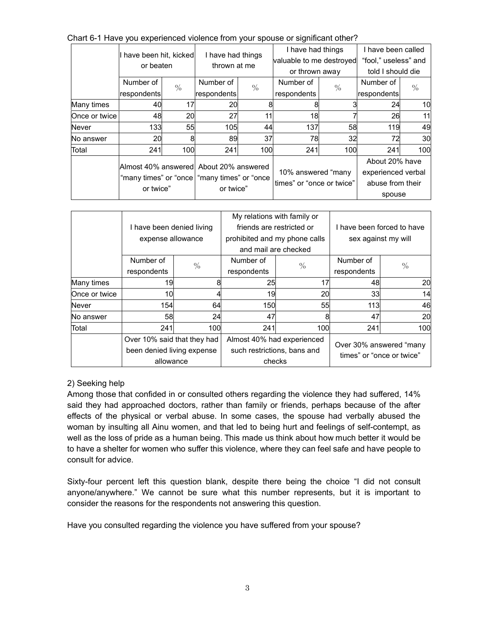Chart 6-1 Have you experienced violence from your spouse or significant other?

|               |                                      |                                        |                                    |               |                           | I have had things | I have been called   |               |  |
|---------------|--------------------------------------|----------------------------------------|------------------------------------|---------------|---------------------------|-------------------|----------------------|---------------|--|
|               | I have been hit, kicked<br>or beaten |                                        | I have had things<br>thrown at me  |               | valuable to me destroyed  |                   | "fool." useless" and |               |  |
|               |                                      |                                        |                                    |               |                           | or thrown away    | told I should die    |               |  |
|               | Number of                            | $\frac{0}{0}$                          | Number of                          | $\frac{0}{0}$ | Number of                 | $\frac{0}{0}$     | Number of            | $\frac{0}{0}$ |  |
|               | respondents                          |                                        | respondents                        |               | respondents               |                   |                      | respondents   |  |
| Many times    | 40                                   | 17                                     | 20                                 |               |                           |                   | 24                   | 10            |  |
| Once or twice | 48                                   | 20                                     | 27                                 | 11            | 18                        |                   | 26                   | 11            |  |
| <b>Never</b>  | 133                                  | 55                                     | 105                                | 44            | 137                       | 58                | 119                  | 49            |  |
| No answer     | 20                                   | 8                                      | 89                                 | 37            | 78                        | 32                | 72                   | 30            |  |
| Total         | 241                                  | 100                                    | 241                                | 100           | 241                       | 100               | 241                  | 100           |  |
|               |                                      |                                        |                                    |               |                           |                   | About 20% have       |               |  |
|               |                                      | Almost 40% answered About 20% answered |                                    |               | 10% answered "many        |                   | experienced verbal   |               |  |
|               | "many times" or "once<br>or twice"   |                                        | "many times" or "once<br>or twice" |               | times" or "once or twice" |                   | abuse from their     |               |  |
|               |                                      |                                        |                                    |               |                           |                   | spouse               |               |  |

|               |                             |               | My relations with family or   |               |                            |               |  |
|---------------|-----------------------------|---------------|-------------------------------|---------------|----------------------------|---------------|--|
|               | I have been denied living   |               | friends are restricted or     |               | I have been forced to have |               |  |
|               | expense allowance           |               | prohibited and my phone calls |               | sex against my will        |               |  |
|               |                             |               | and mail are checked          |               |                            |               |  |
|               | Number of                   | $\frac{0}{0}$ | Number of                     | $\frac{0}{0}$ | Number of                  | $\frac{0}{0}$ |  |
|               | respondents                 |               | respondents                   |               | respondents                |               |  |
| Many times    | 19                          |               | 25                            | 17            | 48                         | 20            |  |
| Once or twice | 10                          |               | 19                            | 20            | 33                         | 14            |  |
| <b>Never</b>  | 154                         | 64            | 150                           | 55            | 113                        | 46            |  |
| No answer     | 58                          | 24            | 47                            |               | 47                         | 20            |  |
| Total         | 241                         | 100           | 241                           | 100           | 241                        | 100           |  |
|               | Over 10% said that they had |               | Almost 40% had experienced    |               |                            |               |  |
|               | been denied living expense  |               | such restrictions, bans and   |               | Over 30% answered "many    |               |  |
|               | allowance                   |               | checks                        |               | times" or "once or twice"  |               |  |

### 2) Seeking help

Among those that confided in or consulted others regarding the violence they had suffered, 14% said they had approached doctors, rather than family or friends, perhaps because of the after effects of the physical or verbal abuse. In some cases, the spouse had verbally abused the woman by insulting all Ainu women, and that led to being hurt and feelings of self-contempt, as well as the loss of pride as a human being. This made us think about how much better it would be to have a shelter for women who suffer this violence, where they can feel safe and have people to consult for advice.

Sixty-four percent left this question blank, despite there being the choice "I did not consult anyone/anywhere." We cannot be sure what this number represents, but it is important to consider the reasons for the respondents not answering this question.

Have you consulted regarding the violence you have suffered from your spouse?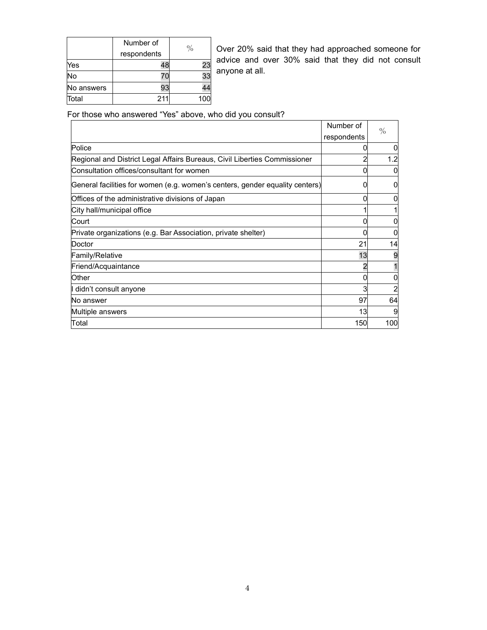|            | Number of   | $\%$ |
|------------|-------------|------|
|            | respondents |      |
| Yes        | 48          | 23   |
| <b>No</b>  |             | 33   |
| No answers | 93          | 44   |
| Total      | 211         | 100  |

Over 20% said that they had approached someone for advice and over 30% said that they did not consult anyone at all.

For those who answered "Yes" above, who did you consult?

|                                                                              | Number of   | $\frac{0}{0}$ |
|------------------------------------------------------------------------------|-------------|---------------|
|                                                                              | respondents |               |
| Police                                                                       |             |               |
| Regional and District Legal Affairs Bureaus, Civil Liberties Commissioner    |             | 1.2           |
| Consultation offices/consultant for women                                    |             |               |
| General facilities for women (e.g. women's centers, gender equality centers) |             | 0             |
| Offices of the administrative divisions of Japan                             |             |               |
| City hall/municipal office                                                   |             |               |
| Court                                                                        |             |               |
| Private organizations (e.g. Bar Association, private shelter)                |             |               |
| Doctor                                                                       | 21          | 14            |
| Family/Relative                                                              | 13          |               |
| Friend/Acquaintance                                                          |             |               |
| Other                                                                        |             |               |
| didn't consult anyone                                                        |             |               |
| No answer                                                                    | 97          | 64            |
| Multiple answers                                                             | 13          |               |
| Total                                                                        | 150         | 100           |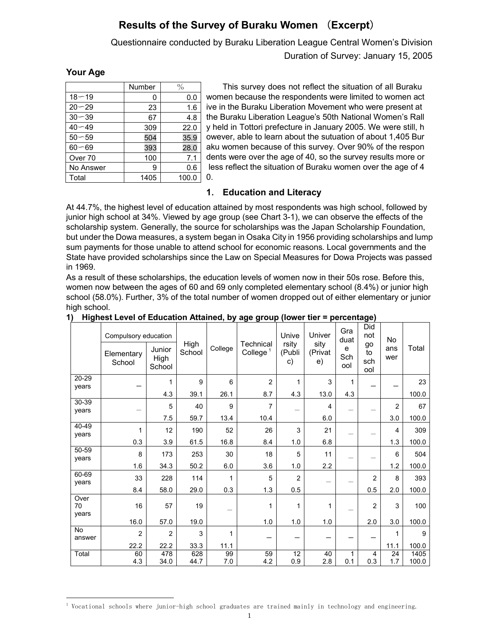# **Results of the Survey of Buraku Women** (**Excerpt**)

Questionnaire conducted by Buraku Liberation League Central Women's Division

Duration of Survey: January 15, 2005

### **Your Age**

Ļ

|           | Number | $\%$  |
|-----------|--------|-------|
| $18 - 19$ | 0      | 0.0   |
| $20 - 29$ | 23     | 1.6   |
| $30 - 39$ | 67     | 4.8   |
| $40 - 49$ | 309    | 22.0  |
| $50 - 59$ | 504    | 35.9  |
| $60 - 69$ | 393    | 28.0  |
| Over 70   | 100    | 7.1   |
| No Answer | 9      | 0.6   |
| Total     | 1405   | 100.0 |

This survey does not reflect the situation of all Buraku women because the respondents were limited to women act ive in the Buraku Liberation Movement who were present at the Buraku Liberation League's 50th National Women's Rall y held in Tottori prefecture in January 2005. We were still, h owever, able to learn about the sutuation of about 1,405 Bur aku women because of this survey. Over 90% of the respon dents were over the age of 40, so the survey results more or less reflect the situation of Buraku women over the age of 4 0.

### **1**. **Education and Literacy**

At 44.7%, the highest level of education attained by most respondents was high school, followed by junior high school at 34%. Viewed by age group (see Chart 3-1), we can observe the effects of the scholarship system. Generally, the source for scholarships was the Japan Scholarship Foundation, but under the Dowa measures, a system began in Osaka City in 1956 providing scholarships and lump sum payments for those unable to attend school for economic reasons. Local governments and the State have provided scholarships since the Law on Special Measures for Dowa Projects was passed in 1969.

As a result of these scholarships, the education levels of women now in their 50s rose. Before this, women now between the ages of 60 and 69 only completed elementary school (8.4%) or junior high school (58.0%). Further, 3% of the total number of women dropped out of either elementary or junior high school.

|                | Compulsory education<br>Elementary<br>School | Junior<br>High<br>School | High<br>School | College | Technical<br>College $1$ | Unive<br>rsity<br>(Publi<br>C) | Univer<br>sity<br>(Privat<br>e) | Gra<br>duat<br>e<br>Sch<br>ool | Did<br>not<br>go<br>to<br>sch | <b>No</b><br>ans<br>wer | Total |
|----------------|----------------------------------------------|--------------------------|----------------|---------|--------------------------|--------------------------------|---------------------------------|--------------------------------|-------------------------------|-------------------------|-------|
| 20-29          |                                              |                          |                |         |                          |                                |                                 |                                | ool                           |                         |       |
| vears          |                                              | 1                        | 9              | 6       | $\overline{2}$           | 1                              | 3                               | 1                              |                               |                         | 23    |
|                |                                              | 4.3                      | 39.1           | 26.1    | 8.7                      | 4.3                            | 13.0                            | 4.3                            |                               |                         | 100.0 |
| $30 - 39$      |                                              | 5                        | 40             | 9       | 7                        |                                | 4                               |                                |                               | $\overline{2}$          | 67    |
| years          |                                              | 7.5                      | 59.7           | 13.4    | 10.4                     |                                | 6.0                             |                                |                               | 3.0                     | 100.0 |
| 40-49          |                                              |                          |                |         |                          |                                |                                 |                                |                               |                         |       |
| years          | 1                                            | 12                       | 190            | 52      | 26                       | 3                              | 21                              |                                |                               | 4                       | 309   |
|                | 0.3                                          | 3.9                      | 61.5           | 16.8    | 8.4                      | 1.0                            | 6.8                             |                                |                               | 1.3                     | 100.0 |
| 50-59<br>years | 8                                            | 173                      | 253            | 30      | 18                       | 5                              | 11                              |                                |                               | 6                       | 504   |
|                | 1.6                                          | 34.3                     | 50.2           | 6.0     | 3.6                      | 1.0                            | 2.2                             |                                |                               | $1.2$                   | 100.0 |
| 60-69          | 33                                           | 228                      | 114            | 1       | 5                        | $\overline{2}$                 |                                 |                                | $\overline{2}$                | 8                       | 393   |
| years          | 8.4                                          | 58.0                     | 29.0           | 0.3     | 1.3                      | 0.5                            |                                 |                                | 0.5                           | 2.0                     | 100.0 |
| Over<br>70     | 16                                           | 57                       | 19             |         | 1                        | 1                              | 1                               |                                | $\overline{2}$                | 3                       | 100   |
| years          | 16.0                                         | 57.0                     | 19.0           |         | 1.0                      | 1.0                            | 1.0                             |                                | 2.0                           | 3.0                     | 100.0 |
| <b>No</b>      |                                              |                          |                |         |                          |                                |                                 |                                |                               |                         |       |
| answer         | $\overline{2}$                               | $\overline{2}$           | $\mathsf 3$    | 1       |                          |                                |                                 |                                |                               | 1                       | 9     |
|                | 22.2                                         | 22.2                     | 33.3           | 11.1    |                          |                                |                                 |                                |                               | 11.1                    | 100.0 |
| Total          | 60                                           | 478                      | 628            | 99      | 59                       | 12                             | 40                              | 1                              | 4                             | 24                      | 1405  |
|                | 4.3                                          | 34.0                     | 44.7           | 7.0     | 4.2                      | 0.9                            | 2.8                             | 0.1                            | 0.3                           | 1.7                     | 100.0 |

**1) Highest Level of Education Attained, by age group (lower tier = percentage)**

<sup>1</sup> Vocational schools where junior-high school graduates are trained mainly in technology and engineering.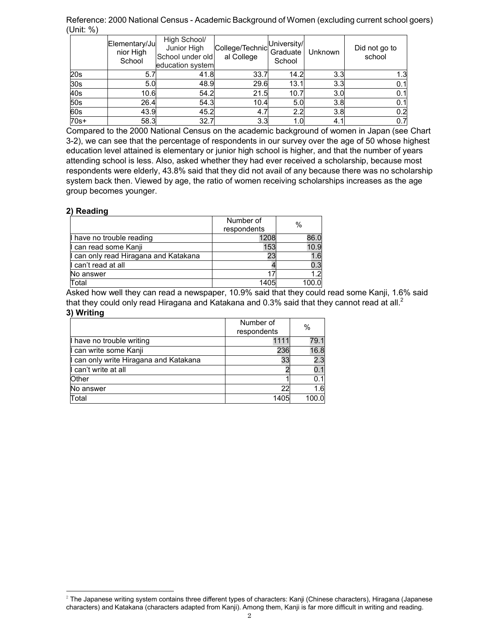Reference: 2000 National Census - Academic Background of Women (excluding current school goers) (Unit: %)

|                 | Elementary/Ju<br>nior High<br>School | High School/<br>Junior High<br>School under old<br>education system | College/Technic<br>al College | University/<br>Graduate<br>School | Unknown | Did not go to<br>school |
|-----------------|--------------------------------------|---------------------------------------------------------------------|-------------------------------|-----------------------------------|---------|-------------------------|
| 20s             | 5.7                                  | 41.8                                                                | 33.7                          | 14.2                              | 3.3     |                         |
| 30 <sub>s</sub> | 5.0                                  | 48.9                                                                | 29.6                          | 13.1                              | 3.3     | 0.1                     |
| 40s             | 10.6                                 | 54.2                                                                | 21.5                          | 10.7                              | 3.0     | 0.1                     |
| 50s             | 26.4                                 | 54.3                                                                | 10.4                          | 5.0                               | 3.8     | 0.1                     |
| 60s             | 43.9                                 | 45.2                                                                | 4.7                           | 2.2                               | 3.8     | 0.2                     |
| $70s+$          | 58.3                                 | 32.7                                                                | 3.3                           | 1.0                               | 4.      | 0.7                     |

Compared to the 2000 National Census on the academic background of women in Japan (see Chart 3-2), we can see that the percentage of respondents in our survey over the age of 50 whose highest education level attained is elementary or junior high school is higher, and that the number of years attending school is less. Also, asked whether they had ever received a scholarship, because most respondents were elderly, 43.8% said that they did not avail of any because there was no scholarship system back then. Viewed by age, the ratio of women receiving scholarships increases as the age group becomes younger.

#### **2) Reading**

i,

|                                       | Number of   | $\%$  |
|---------------------------------------|-------------|-------|
|                                       | respondents |       |
| Il have no trouble reading            | 1208        | 86.0  |
| I can read some Kanji                 | 153         | 10.9  |
| I can only read Hiragana and Katakana | 23          | 1.6   |
| I can't read at all                   |             | 0.3   |
| No answer                             |             | 1.2   |
| Total                                 | 1405        | 100.0 |

Asked how well they can read a newspaper, 10.9% said that they could read some Kanji, 1.6% said that they could only read Hiragana and Katakana and 0.3% said that they cannot read at all.<sup>2</sup> **3) Writing**

|                                        | Number of<br>respondents | $\%$  |
|----------------------------------------|--------------------------|-------|
| Il have no trouble writing             | 1111                     | 79.1  |
| I can write some Kanji                 | 236                      | 16.8  |
| I can only write Hiragana and Katakana | 33                       | 2.3   |
| I can't write at all                   |                          | 0.1   |
| <b>Other</b>                           |                          | 0.1   |
| No answer                              | つつ                       | 1.6   |
| Total                                  | 1405                     | 100.0 |

<sup>&</sup>lt;sup>2</sup> The Japanese writing system contains three different types of characters: Kanji (Chinese characters), Hiragana (Japanese characters) and Katakana (characters adapted from Kanji). Among them, Kanji is far more difficult in writing and reading.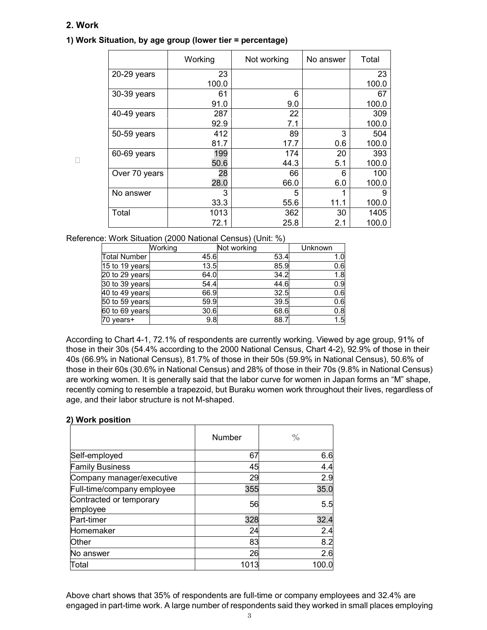### **2. Work**

 $\Box$ 

### **1) Work Situation, by age group (lower tier = percentage)**

|               | Working | Not working | No answer | Total |
|---------------|---------|-------------|-----------|-------|
| $20-29$ years | 23      |             |           | 23    |
|               | 100.0   |             |           | 100.0 |
| 30-39 years   | 61      | 6           |           | 67    |
|               | 91.0    | 9.0         |           | 100.0 |
| 40-49 years   | 287     | 22          |           | 309   |
|               | 92.9    | 7.1         |           | 100.0 |
| 50-59 years   | 412     | 89          | 3         | 504   |
|               | 81.7    | 17.7        | 0.6       | 100.0 |
| 60-69 years   | 199     | 174         | 20        | 393   |
|               | 50.6    | 44.3        | 5.1       | 100.0 |
| Over 70 years | 28      | 66          | 6         | 100   |
|               | 28.0    | 66.0        | 6.0       | 100.0 |
| No answer     | 3       | 5           | 1         | 9     |
|               | 33.3    | 55.6        | 11.1      | 100.0 |
| Total         | 1013    | 362         | 30        | 1405  |
|               | 72.1    | 25.8        | 2.1       | 100.0 |

Reference: Work Situation (2000 National Census) (Unit: %)

|                     | Working | Not working | Unknown |
|---------------------|---------|-------------|---------|
| <b>Total Number</b> | 45.6    | 53.4        | 1.0     |
| 15 to 19 years      | 13.5    | 85.9        | 0.6     |
| 20 to 29 years      | 64.0    | 34.2        | 1.8     |
| 30 to 39 years      | 54.4    | 44.6        | 0.9     |
| 40 to 49 years      | 66.9    | 32.5        | 0.6     |
| 50 to 59 years      | 59.9    | 39.5        | 0.6     |
| 60 to 69 years      | 30.6    | 68.6        | 0.8     |
| 70 years+           | 9.8     | 88.7        | 1.5     |

According to Chart 4-1, 72.1% of respondents are currently working. Viewed by age group, 91% of those in their 30s (54.4% according to the 2000 National Census, Chart 4-2), 92.9% of those in their 40s (66.9% in National Census), 81.7% of those in their 50s (59.9% in National Census), 50.6% of those in their 60s (30.6% in National Census) and 28% of those in their 70s (9.8% in National Census) are working women. It is generally said that the labor curve for women in Japan forms an "M" shape, recently coming to resemble a trapezoid, but Buraku women work throughout their lives, regardless of age, and their labor structure is not M-shaped.

### **2) Work position**

|                                     | <b>Number</b> | $\frac{0}{0}$ |
|-------------------------------------|---------------|---------------|
| Self-employed                       | 67            | 6.6           |
| <b>Family Business</b>              | 45            | 4.4           |
| Company manager/executive           | 29            | 2.9           |
| Full-time/company employee          | 355           | 35.0          |
| Contracted or temporary<br>employee | 56            | 5.5           |
| Part-timer                          | 328           | 32.4          |
| Homemaker                           | 24            | 2.4           |
| Other                               | 83            | 8.2           |
| No answer                           | 26            | 2.6           |
| Total                               | 1013          | 100.0         |

Above chart shows that 35% of respondents are full-time or company employees and 32.4% are engaged in part-time work. A large number of respondents said they worked in small places employing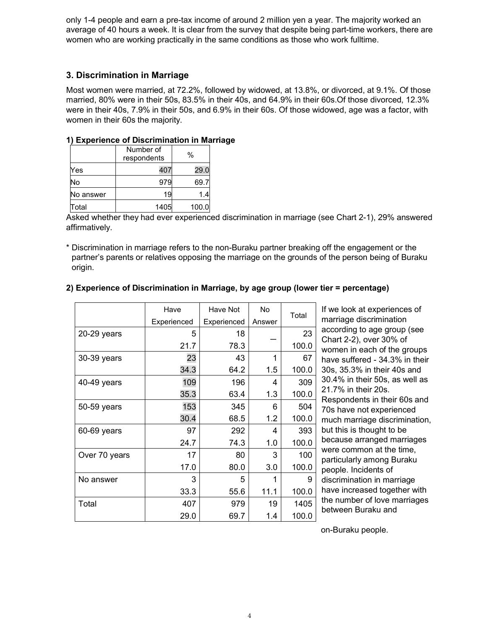only 1-4 people and earn a pre-tax income of around 2 million yen a year. The majority worked an average of 40 hours a week. It is clear from the survey that despite being part-time workers, there are women who are working practically in the same conditions as those who work fulltime.

### **3. Discrimination in Marriage**

Most women were married, at 72.2%, followed by widowed, at 13.8%, or divorced, at 9.1%. Of those married, 80% were in their 50s, 83.5% in their 40s, and 64.9% in their 60s.Of those divorced, 12.3% were in their 40s, 7.9% in their 50s, and 6.9% in their 60s. Of those widowed, age was a factor, with women in their 60s the majority.

### **1) Experience of Discrimination in Marriage**

|           | Number of<br>respondents | %     |
|-----------|--------------------------|-------|
| Yes       | 407                      | 29.0  |
| No        | 979                      | 69.7  |
| No answer | 19                       | 14    |
| Total     | 1405                     | 100.0 |

Asked whether they had ever experienced discrimination in marriage (see Chart 2-1), 29% answered affirmatively.

\* Discrimination in marriage refers to the non-Buraku partner breaking off the engagement or the partner's parents or relatives opposing the marriage on the grounds of the person being of Buraku origin.

|               | Have        | Have Not    | No.    |       |
|---------------|-------------|-------------|--------|-------|
|               | Experienced | Experienced | Answer | Total |
| 20-29 years   | 5           | 18          |        | 23    |
|               | 21.7        | 78.3        |        | 100.0 |
| 30-39 years   | 23          | 43          |        | 67    |
|               | 34.3        | 64.2        | 1.5    | 100.0 |
| 40-49 years   | 109         | 196         | 4      | 309   |
|               | 35.3        | 63.4        | 1.3    | 100.0 |
| 50-59 years   | 153         | 345         | 6      | 504   |
|               | 30.4        | 68.5        | 1.2    | 100.0 |
| 60-69 years   | 97          | 292         | 4      | 393   |
|               | 24.7        | 74.3        | 1.0    | 100.0 |
| Over 70 years | 17          | 80          | 3      | 100   |
|               | 17.0        | 80.0        | 3.0    | 100.0 |
| No answer     | 3           | 5           | 1      | 9     |
|               | 33.3        | 55.6        | 11.1   | 100.0 |
| Total         | 407         | 979         | 19     | 1405  |
|               | 29.0        | 69.7        | 1.4    | 100.0 |

### **2) Experience of Discrimination in Marriage, by age group (lower tier = percentage)**

If we look at experiences of marriage discrimination according to age group (see Chart 2-2), over 30% of women in each of the groups have suffered - 34.3% in their 30s, 35.3% in their 40s and 30.4% in their 50s, as well as 21.7% in their 20s. Respondents in their 60s and 70s have not experienced much marriage discrimination, but this is thought to be because arranged marriages were common at the time, particularly among Buraku people. Incidents of discrimination in marriage have increased together with the number of love marriages between Buraku and

on-Buraku people.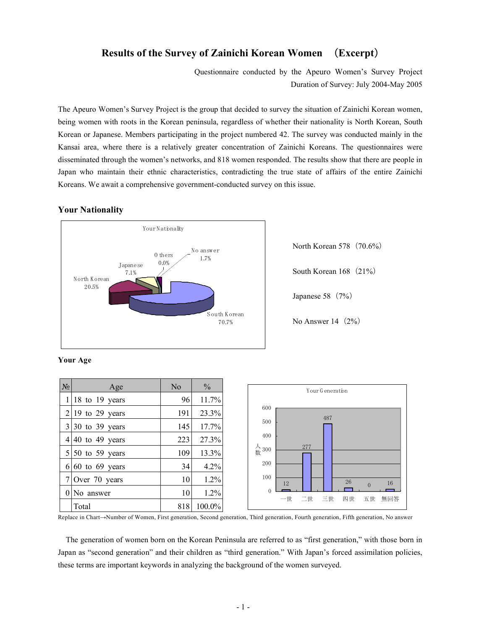### **Results of the Survey of Zainichi Korean Women** (**Excerpt**)

Questionnaire conducted by the Apeuro Women's Survey Project Duration of Survey: July 2004-May 2005

The Apeuro Women's Survey Project is the group that decided to survey the situation of Zainichi Korean women, being women with roots in the Korean peninsula, regardless of whether their nationality is North Korean, South Korean or Japanese. Members participating in the project numbered 42. The survey was conducted mainly in the Kansai area, where there is a relatively greater concentration of Zainichi Koreans. The questionnaires were disseminated through the women's networks, and 818 women responded. The results show that there are people in Japan who maintain their ethnic characteristics, contradicting the true state of affairs of the entire Zainichi Koreans. We await a comprehensive government-conducted survey on this issue.

#### **Your Nationality**



North Korean 578 (70.6%) South Korean 168 (21%) Japanese 58 $(7%)$ No Answer  $14(2\%)$ 

|  | 'our Age |
|--|----------|
|--|----------|

| $N_2$ | Age                     | N <sub>o</sub> | $\frac{0}{0}$ | Your Generation                   |
|-------|-------------------------|----------------|---------------|-----------------------------------|
|       | $1 18$ to 19 years      | 96             | 11.7%         |                                   |
|       | $2 19$ to 29 years      | 191            | 23.3%         | 600<br>487                        |
|       | $3 30$ to 39 years      | 145            | 17.7%         | 500                               |
|       | $4 40$ to 49 years      | 223            | 27.3%         | 400                               |
|       | $5 \mid 50$ to 59 years | 109            | 13.3%         | 人<br>300<br>277                   |
|       | $6 60$ to 69 years      | 34             | 4.2%          | 200                               |
|       | $7$ Over 70 years       | 10             | 1.2%          | 100<br>26<br>16<br>12<br>$\Omega$ |
|       | $0$ No answer           | 10             | 1.2%          | $\Omega$<br>一世<br>二世<br>三世<br>四世  |
|       | Total                   | 818            | 100.0%        | 五世<br>無回答                         |

Replace in Chart→Number of Women, First generation, Second generation, Third generation, Fourth generation, Fifth generation, No answer

The generation of women born on the Korean Peninsula are referred to as "first generation," with those born in Japan as "second generation" and their children as "third generation." With Japan's forced assimilation policies, these terms are important keywords in analyzing the background of the women surveyed.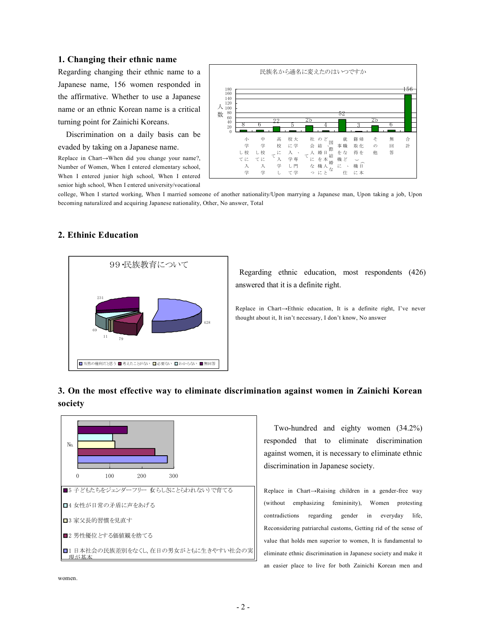#### **1. Changing their ethnic name**

Regarding changing their ethnic name to a Japanese name, 156 women responded in the affirmative. Whether to use a Japanese name or an ethnic Korean name is a critical turning point for Zainichi Koreans.

Discrimination on a daily basis can be evaded by taking on a Japanese name.

Replace in Chart→When did you change your name?, Number of Women, When I entered elementary school, When I entered junior high school, When I entered senior high school, When I entered university/vocational



college, When I started working, When I married someone of another nationality/Upon marrying a Japanese man, Upon taking a job, Upon becoming naturalized and acquiring Japanese nationality, Other, No answer, Total



#### **2. Ethinic Education**

Regarding ethnic education, most respondents (426) answered that it is a definite right.

Replace in Chart→Ethnic education, It is a definite right, I've never thought about it, It isn't necessary, I don't know, No answer

### **3. On the most effective way to eliminate discrimination against women in Zainichi Korean society**



Two-hundred and eighty women (34.2%) responded that to eliminate discrimination against women, it is necessary to eliminate ethnic discrimination in Japanese society.

Replace in Chart→Raising children in a gender-free way (without emphasizing femininity), Women protesting contradictions regarding gender in everyday life, Reconsidering patriarchal customs, Getting rid of the sense of value that holds men superior to women, It is fundamental to eliminate ethnic discrimination in Japanese society and make it an easier place to live for both Zainichi Korean men and

women.